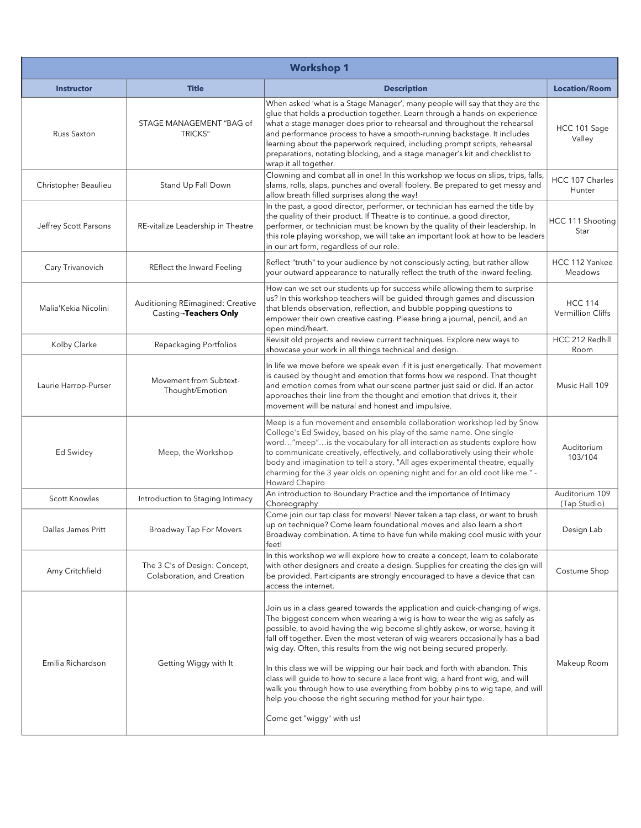| <b>Workshop 1</b>     |                                                             |                                                                                                                                                                                                                                                                                                                                                                                                                                                                                                                                                                                                                                                                                                                                                       |                                     |
|-----------------------|-------------------------------------------------------------|-------------------------------------------------------------------------------------------------------------------------------------------------------------------------------------------------------------------------------------------------------------------------------------------------------------------------------------------------------------------------------------------------------------------------------------------------------------------------------------------------------------------------------------------------------------------------------------------------------------------------------------------------------------------------------------------------------------------------------------------------------|-------------------------------------|
| <b>Instructor</b>     | <b>Title</b>                                                | <b>Description</b>                                                                                                                                                                                                                                                                                                                                                                                                                                                                                                                                                                                                                                                                                                                                    | <b>Location/Room</b>                |
| <b>Russ Saxton</b>    | STAGE MANAGEMENT "BAG of<br><b>TRICKS"</b>                  | When asked 'what is a Stage Manager', many people will say that they are the<br>glue that holds a production together. Learn through a hands-on experience<br>what a stage manager does prior to rehearsal and throughout the rehearsal<br>and performance process to have a smooth-running backstage. It includes<br>learning about the paperwork required, including prompt scripts, rehearsal<br>preparations, notating blocking, and a stage manager's kit and checklist to<br>wrap it all together.                                                                                                                                                                                                                                              | HCC 101 Sage<br>Valley              |
| Christopher Beaulieu  | Stand Up Fall Down                                          | Clowning and combat all in one! In this workshop we focus on slips, trips, falls,<br>slams, rolls, slaps, punches and overall foolery. Be prepared to get messy and<br>allow breath filled surprises along the way!                                                                                                                                                                                                                                                                                                                                                                                                                                                                                                                                   | HCC 107 Charles<br>Hunter           |
| Jeffrey Scott Parsons | RE-vitalize Leadership in Theatre                           | In the past, a good director, performer, or technician has earned the title by<br>the quality of their product. If Theatre is to continue, a good director,<br>performer, or technician must be known by the quality of their leadership. In<br>this role playing workshop, we will take an important look at how to be leaders<br>in our art form, regardless of our role.                                                                                                                                                                                                                                                                                                                                                                           | HCC 111 Shooting<br>Star            |
| Cary Trivanovich      | REflect the Inward Feeling                                  | Reflect "truth" to your audience by not consciously acting, but rather allow<br>your outward appearance to naturally reflect the truth of the inward feeling.                                                                                                                                                                                                                                                                                                                                                                                                                                                                                                                                                                                         | HCC 112 Yankee<br>Meadows           |
| Malia'Kekia Nicolini  | Auditioning REimagined: Creative<br>Casting-Teachers Only   | How can we set our students up for success while allowing them to surprise<br>us? In this workshop teachers will be guided through games and discussion<br>that blends observation, reflection, and bubble popping questions to<br>empower their own creative casting. Please bring a journal, pencil, and an<br>open mind/heart.                                                                                                                                                                                                                                                                                                                                                                                                                     | <b>HCC 114</b><br>Vermillion Cliffs |
| Kolby Clarke          | Repackaging Portfolios                                      | Revisit old projects and review current techniques. Explore new ways to<br>showcase your work in all things technical and design.                                                                                                                                                                                                                                                                                                                                                                                                                                                                                                                                                                                                                     | HCC 212 Redhill<br>Room             |
| Laurie Harrop-Purser  | Movement from Subtext-<br>Thought/Emotion                   | In life we move before we speak even if it is just energetically. That movement<br>is caused by thought and emotion that forms how we respond. That thought<br>and emotion comes from what our scene partner just said or did. If an actor<br>approaches their line from the thought and emotion that drives it, their<br>movement will be natural and honest and impulsive.                                                                                                                                                                                                                                                                                                                                                                          | Music Hall 109                      |
| Ed Swidey             | Meep, the Workshop                                          | Meep is a fun movement and ensemble collaboration workshop led by Snow<br>College's Ed Swidey, based on his play of the same name. One single<br>word"meep"is the vocabulary for all interaction as students explore how<br>to communicate creatively, effectively, and collaboratively using their whole<br>body and imagination to tell a story. "All ages experimental theatre, equally<br>charming for the 3 year olds on opening night and for an old coot like me." -<br>Howard Chapiro                                                                                                                                                                                                                                                         | Auditorium<br>103/104               |
| <b>Scott Knowles</b>  | Introduction to Staging Intimacy                            | An introduction to Boundary Practice and the importance of Intimacy<br>Choreography                                                                                                                                                                                                                                                                                                                                                                                                                                                                                                                                                                                                                                                                   | Auditorium 109<br>(Tap Studio)      |
| Dallas James Pritt    | Broadway Tap For Movers                                     | Come join our tap class for movers! Never taken a tap class, or want to brush<br>up on technique? Come learn foundational moves and also learn a short<br>Broadway combination. A time to have fun while making cool music with your<br>feet!                                                                                                                                                                                                                                                                                                                                                                                                                                                                                                         | Design Lab                          |
| Amy Critchfield       | The 3 C's of Design: Concept,<br>Colaboration, and Creation | In this workshop we will explore how to create a concept, learn to colaborate<br>with other designers and create a design. Supplies for creating the design will<br>be provided. Participants are strongly encouraged to have a device that can<br>access the internet.                                                                                                                                                                                                                                                                                                                                                                                                                                                                               | Costume Shop                        |
| Emilia Richardson     | Getting Wiggy with It                                       | Join us in a class geared towards the application and quick-changing of wigs.<br>The biggest concern when wearing a wig is how to wear the wig as safely as<br>possible, to avoid having the wig become slightly askew, or worse, having it<br>fall off together. Even the most veteran of wig-wearers occasionally has a bad<br>wig day. Often, this results from the wig not being secured properly.<br>In this class we will be wipping our hair back and forth with abandon. This<br>class will guide to how to secure a lace front wig, a hard front wig, and will<br>walk you through how to use everything from bobby pins to wig tape, and will<br>help you choose the right securing method for your hair type.<br>Come get "wiggy" with us! | Makeup Room                         |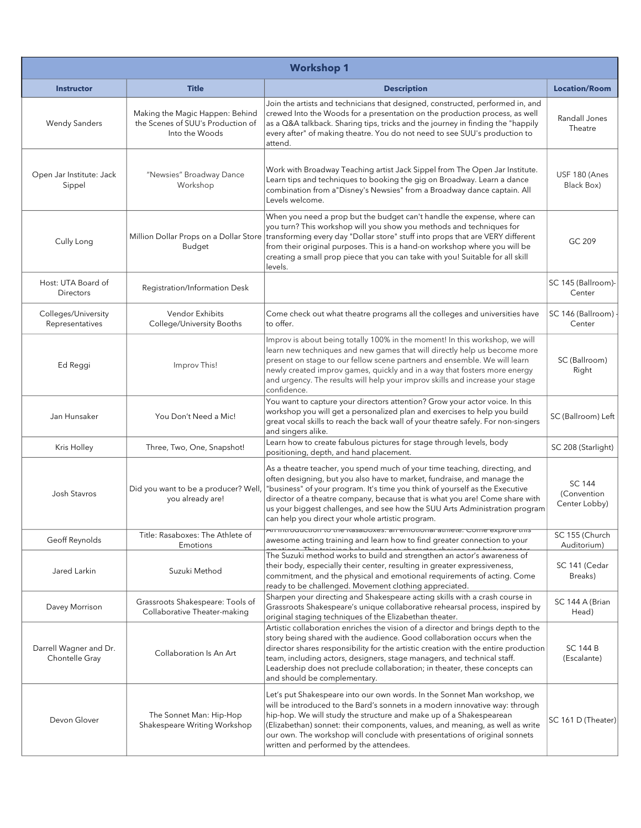| <b>Workshop 1</b>                        |                                                                                        |                                                                                                                                                                                                                                                                                                                                                                                                                                                          |                                               |
|------------------------------------------|----------------------------------------------------------------------------------------|----------------------------------------------------------------------------------------------------------------------------------------------------------------------------------------------------------------------------------------------------------------------------------------------------------------------------------------------------------------------------------------------------------------------------------------------------------|-----------------------------------------------|
| <b>Instructor</b>                        | <b>Title</b>                                                                           | <b>Description</b>                                                                                                                                                                                                                                                                                                                                                                                                                                       | <b>Location/Room</b>                          |
| <b>Wendy Sanders</b>                     | Making the Magic Happen: Behind<br>the Scenes of SUU's Production of<br>Into the Woods | Join the artists and technicians that designed, constructed, performed in, and<br>crewed Into the Woods for a presentation on the production process, as well<br>as a Q&A talkback. Sharing tips, tricks and the journey in finding the "happily<br>every after" of making theatre. You do not need to see SUU's production to<br>attend.                                                                                                                | Randall Jones<br>Theatre                      |
| Open Jar Institute: Jack<br>Sippel       | "Newsies" Broadway Dance<br>Workshop                                                   | Work with Broadway Teaching artist Jack Sippel from The Open Jar Institute.<br>Learn tips and techniques to booking the gig on Broadway. Learn a dance<br>combination from a "Disney's Newsies" from a Broadway dance captain. All<br>Levels welcome.                                                                                                                                                                                                    | USF 180 (Anes<br>Black Box)                   |
| Cully Long                               | Million Dollar Props on a Dollar Store<br>Budget                                       | When you need a prop but the budget can't handle the expense, where can<br>you turn? This workshop will you show you methods and techniques for<br>transforming every day "Dollar store" stuff into props that are VERY different<br>from their original purposes. This is a hand-on workshop where you will be<br>creating a small prop piece that you can take with you! Suitable for all skill<br>levels.                                             | GC 209                                        |
| Host: UTA Board of<br><b>Directors</b>   | Registration/Information Desk                                                          |                                                                                                                                                                                                                                                                                                                                                                                                                                                          | SC 145 (Ballroom)-<br>Center                  |
| Colleges/University<br>Representatives   | Vendor Exhibits<br>College/University Booths                                           | Come check out what theatre programs all the colleges and universities have<br>to offer.                                                                                                                                                                                                                                                                                                                                                                 | SC 146 (Ballroom)<br>Center                   |
| Ed Reggi                                 | Improv This!                                                                           | Improv is about being totally 100% in the moment! In this workshop, we will<br>learn new techniques and new games that will directly help us become more<br>present on stage to our fellow scene partners and ensemble. We will learn<br>newly created improv games, quickly and in a way that fosters more energy<br>and urgency. The results will help your improv skills and increase your stage<br>confidence.                                       | SC (Ballroom)<br>Right                        |
| Jan Hunsaker                             | You Don't Need a Mic!                                                                  | You want to capture your directors attention? Grow your actor voice. In this<br>workshop you will get a personalized plan and exercises to help you build<br>great vocal skills to reach the back wall of your theatre safely. For non-singers<br>and singers alike.                                                                                                                                                                                     | SC (Ballroom) Left                            |
| Kris Holley                              | Three, Two, One, Snapshot!                                                             | Learn how to create fabulous pictures for stage through levels, body<br>positioning, depth, and hand placement.                                                                                                                                                                                                                                                                                                                                          | SC 208 (Starlight)                            |
| Josh Stavros                             | Did you want to be a producer? Well,<br>you already are!                               | As a theatre teacher, you spend much of your time teaching, directing, and<br>often designing, but you also have to market, fundraise, and manage the<br>"business" of your program. It's time you think of yourself as the Executive<br>director of a theatre company, because that is what you are! Come share with<br>us your biggest challenges, and see how the SUU Arts Administration program<br>can help you direct your whole artistic program. | <b>SC 144</b><br>(Convention<br>Center Lobby) |
| Geoff Reynolds                           | Title: Rasaboxes: The Athlete of<br>Emotions                                           | An introduction to the Rasaboxes: an emotional atmete. Come explore this<br>awesome acting training and learn how to find greater connection to your                                                                                                                                                                                                                                                                                                     | SC 155 (Church<br>Auditorium)                 |
| Jared Larkin                             | Suzuki Method                                                                          | The Suzuki method works to build and strengthen an actor's awareness of<br>their body, especially their center, resulting in greater expressiveness,<br>commitment, and the physical and emotional requirements of acting. Come<br>ready to be challenged. Movement clothing appreciated.                                                                                                                                                                | SC 141 (Cedar<br>Breaks)                      |
| Davey Morrison                           | Grassroots Shakespeare: Tools of<br>Collaborative Theater-making                       | Sharpen your directing and Shakespeare acting skills with a crash course in<br>Grassroots Shakespeare's unique collaborative rehearsal process, inspired by<br>original staging techniques of the Elizabethan theater.                                                                                                                                                                                                                                   | SC 144 A (Brian<br>Head)                      |
| Darrell Wagner and Dr.<br>Chontelle Gray | Collaboration Is An Art                                                                | Artistic collaboration enriches the vision of a director and brings depth to the<br>story being shared with the audience. Good collaboration occurs when the<br>director shares responsibility for the artistic creation with the entire production<br>team, including actors, designers, stage managers, and technical staff.<br>Leadership does not preclude collaboration; in theater, these concepts can<br>and should be complementary.             | <b>SC 144 B</b><br>(Escalante)                |
| Devon Glover                             | The Sonnet Man: Hip-Hop<br>Shakespeare Writing Workshop                                | Let's put Shakespeare into our own words. In the Sonnet Man workshop, we<br>will be introduced to the Bard's sonnets in a modern innovative way: through<br>hip-hop. We will study the structure and make up of a Shakespearean<br>(Elizabethan) sonnet: their components, values, and meaning, as well as write<br>our own. The workshop will conclude with presentations of original sonnets<br>written and performed by the attendees.                | SC 161 D (Theater)                            |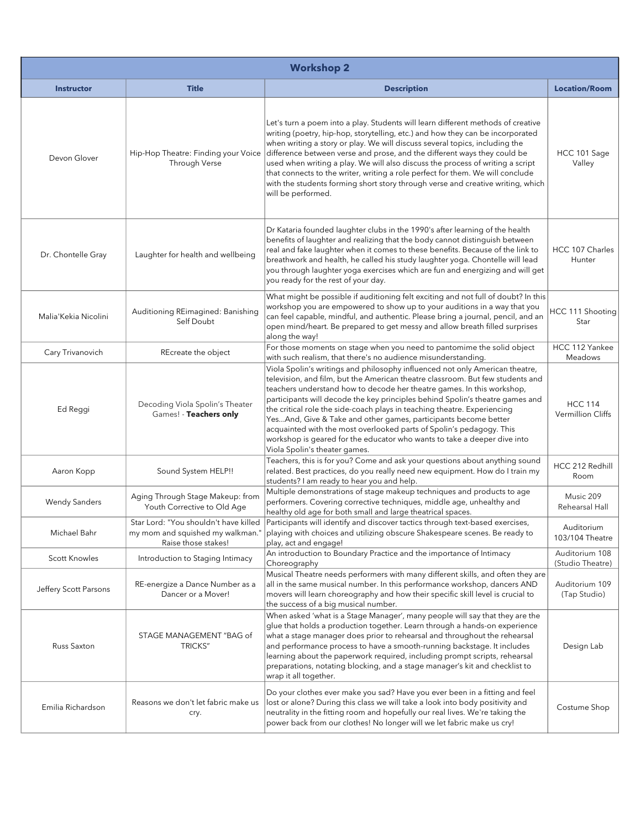| <b>Workshop 2</b>     |                                                                                                  |                                                                                                                                                                                                                                                                                                                                                                                                                                                                                                                                                                                                                                                               |                                     |
|-----------------------|--------------------------------------------------------------------------------------------------|---------------------------------------------------------------------------------------------------------------------------------------------------------------------------------------------------------------------------------------------------------------------------------------------------------------------------------------------------------------------------------------------------------------------------------------------------------------------------------------------------------------------------------------------------------------------------------------------------------------------------------------------------------------|-------------------------------------|
| <b>Instructor</b>     | <b>Title</b>                                                                                     | <b>Description</b>                                                                                                                                                                                                                                                                                                                                                                                                                                                                                                                                                                                                                                            | <b>Location/Room</b>                |
| Devon Glover          | Hip-Hop Theatre: Finding your Voice<br>Through Verse                                             | Let's turn a poem into a play. Students will learn different methods of creative<br>writing (poetry, hip-hop, storytelling, etc.) and how they can be incorporated<br>when writing a story or play. We will discuss several topics, including the<br>difference between verse and prose, and the different ways they could be<br>used when writing a play. We will also discuss the process of writing a script<br>that connects to the writer, writing a role perfect for them. We will conclude<br>with the students forming short story through verse and creative writing, which<br>will be performed.                                                    | HCC 101 Sage<br>Valley              |
| Dr. Chontelle Gray    | Laughter for health and wellbeing                                                                | Dr Kataria founded laughter clubs in the 1990's after learning of the health<br>benefits of laughter and realizing that the body cannot distinguish between<br>real and fake laughter when it comes to these benefits. Because of the link to<br>breathwork and health, he called his study laughter yoga. Chontelle will lead<br>you through laughter yoga exercises which are fun and energizing and will get<br>you ready for the rest of your day.                                                                                                                                                                                                        | HCC 107 Charles<br>Hunter           |
| Malia'Kekia Nicolini  | Auditioning REimagined: Banishing<br>Self Doubt                                                  | What might be possible if auditioning felt exciting and not full of doubt? In this<br>workshop you are empowered to show up to your auditions in a way that you<br>can feel capable, mindful, and authentic. Please bring a journal, pencil, and an<br>open mind/heart. Be prepared to get messy and allow breath filled surprises<br>along the way!                                                                                                                                                                                                                                                                                                          | HCC 111 Shooting<br>Star            |
| Cary Trivanovich      | REcreate the object                                                                              | For those moments on stage when you need to pantomime the solid object<br>with such realism, that there's no audience misunderstanding.                                                                                                                                                                                                                                                                                                                                                                                                                                                                                                                       | HCC 112 Yankee<br>Meadows           |
| Ed Reggi              | Decoding Viola Spolin's Theater<br>Games! - Teachers only                                        | Viola Spolin's writings and philosophy influenced not only American theatre,<br>television, and film, but the American theatre classroom. But few students and<br>teachers understand how to decode her theatre games. In this workshop,<br>participants will decode the key principles behind Spolin's theatre games and<br>the critical role the side-coach plays in teaching theatre. Experiencing<br>YesAnd, Give & Take and other games, participants become better<br>acquainted with the most overlooked parts of Spolin's pedagogy. This<br>workshop is geared for the educator who wants to take a deeper dive into<br>Viola Spolin's theater games. | <b>HCC 114</b><br>Vermillion Cliffs |
| Aaron Kopp            | Sound System HELP!!                                                                              | Teachers, this is for you? Come and ask your questions about anything sound<br>related. Best practices, do you really need new equipment. How do I train my<br>students? I am ready to hear you and help.                                                                                                                                                                                                                                                                                                                                                                                                                                                     | HCC 212 Redhill<br>Room             |
| <b>Wendy Sanders</b>  | Aging Through Stage Makeup: from<br>Youth Corrective to Old Age                                  | Multiple demonstrations of stage makeup techniques and products to age<br>performers. Covering corrective techniques, middle age, unhealthy and<br>healthy old age for both small and large theatrical spaces.                                                                                                                                                                                                                                                                                                                                                                                                                                                | Music 209<br>Rehearsal Hall         |
| Michael Bahr          | Star Lord: "You shouldn't have killed<br>my mom and squished my walkman."<br>Raise those stakes! | Participants will identify and discover tactics through text-based exercises,<br>playing with choices and utilizing obscure Shakespeare scenes. Be ready to<br>play, act and engage!                                                                                                                                                                                                                                                                                                                                                                                                                                                                          | Auditorium<br>103/104 Theatre       |
| <b>Scott Knowles</b>  | Introduction to Staging Intimacy                                                                 | An introduction to Boundary Practice and the importance of Intimacy<br>Choreography                                                                                                                                                                                                                                                                                                                                                                                                                                                                                                                                                                           | Auditorium 108<br>(Studio Theatre)  |
| Jeffery Scott Parsons | RE-energize a Dance Number as a<br>Dancer or a Mover!                                            | Musical Theatre needs performers with many different skills, and often they are<br>all in the same musical number. In this performance workshop, dancers AND<br>movers will learn choreography and how their specific skill level is crucial to<br>the success of a big musical number.                                                                                                                                                                                                                                                                                                                                                                       | Auditorium 109<br>(Tap Studio)      |
| Russ Saxton           | STAGE MANAGEMENT "BAG of<br><b>TRICKS"</b>                                                       | When asked 'what is a Stage Manager', many people will say that they are the<br>glue that holds a production together. Learn through a hands-on experience<br>what a stage manager does prior to rehearsal and throughout the rehearsal<br>and performance process to have a smooth-running backstage. It includes<br>learning about the paperwork required, including prompt scripts, rehearsal<br>preparations, notating blocking, and a stage manager's kit and checklist to<br>wrap it all together.                                                                                                                                                      | Design Lab                          |
| Emilia Richardson     | Reasons we don't let fabric make us<br>cry.                                                      | Do your clothes ever make you sad? Have you ever been in a fitting and feel<br>lost or alone? During this class we will take a look into body positivity and<br>neutrality in the fitting room and hopefully our real lives. We're taking the<br>power back from our clothes! No longer will we let fabric make us cry!                                                                                                                                                                                                                                                                                                                                       | Costume Shop                        |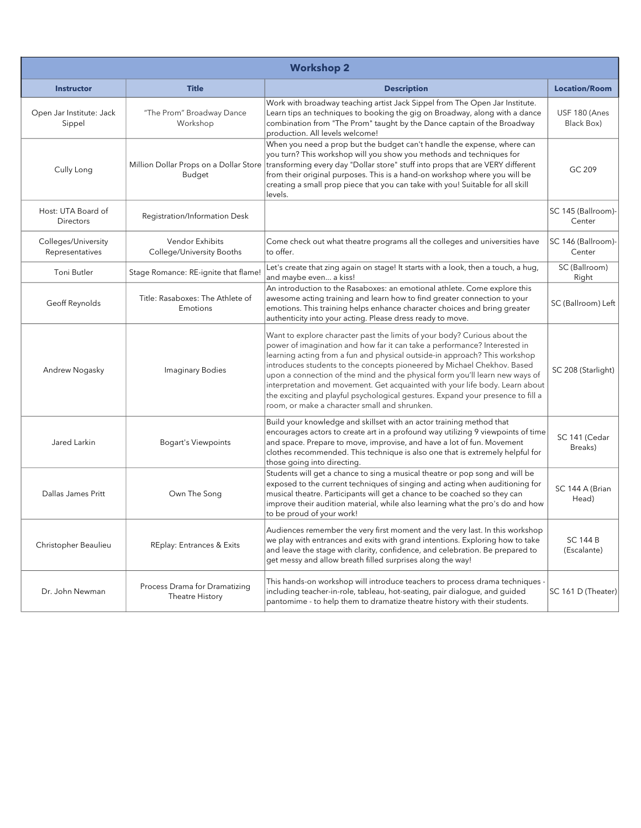| <b>Workshop 2</b>                      |                                                     |                                                                                                                                                                                                                                                                                                                                                                                                                                                                                                                                                                                                                     |                                |
|----------------------------------------|-----------------------------------------------------|---------------------------------------------------------------------------------------------------------------------------------------------------------------------------------------------------------------------------------------------------------------------------------------------------------------------------------------------------------------------------------------------------------------------------------------------------------------------------------------------------------------------------------------------------------------------------------------------------------------------|--------------------------------|
| <b>Instructor</b>                      | <b>Title</b>                                        | <b>Description</b>                                                                                                                                                                                                                                                                                                                                                                                                                                                                                                                                                                                                  | <b>Location/Room</b>           |
| Open Jar Institute: Jack<br>Sippel     | "The Prom" Broadway Dance<br>Workshop               | Work with broadway teaching artist Jack Sippel from The Open Jar Institute.<br>Learn tips an techniques to booking the gig on Broadway, along with a dance<br>combination from "The Prom" taught by the Dance captain of the Broadway<br>production. All levels welcome!                                                                                                                                                                                                                                                                                                                                            | USF 180 (Anes<br>Black Box)    |
| Cully Long                             | Million Dollar Props on a Dollar Store<br>Budget    | When you need a prop but the budget can't handle the expense, where can<br>you turn? This workshop will you show you methods and techniques for<br>transforming every day "Dollar store" stuff into props that are VERY different<br>from their original purposes. This is a hand-on workshop where you will be<br>creating a small prop piece that you can take with you! Suitable for all skill<br>levels.                                                                                                                                                                                                        | GC 209                         |
| Host: UTA Board of<br><b>Directors</b> | Registration/Information Desk                       |                                                                                                                                                                                                                                                                                                                                                                                                                                                                                                                                                                                                                     | SC 145 (Ballroom)-<br>Center   |
| Colleges/University<br>Representatives | <b>Vendor Exhibits</b><br>College/University Booths | Come check out what theatre programs all the colleges and universities have<br>to offer.                                                                                                                                                                                                                                                                                                                                                                                                                                                                                                                            | SC 146 (Ballroom)-<br>Center   |
| Toni Butler                            | Stage Romance: RE-ignite that flame!                | Let's create that zing again on stage! It starts with a look, then a touch, a hug,<br>and maybe even a kiss!                                                                                                                                                                                                                                                                                                                                                                                                                                                                                                        | SC (Ballroom)<br>Right         |
| Geoff Reynolds                         | Title: Rasaboxes: The Athlete of<br>Emotions        | An introduction to the Rasaboxes: an emotional athlete. Come explore this<br>awesome acting training and learn how to find greater connection to your<br>emotions. This training helps enhance character choices and bring greater<br>authenticity into your acting. Please dress ready to move.                                                                                                                                                                                                                                                                                                                    | SC (Ballroom) Left             |
| Andrew Nogasky                         | <b>Imaginary Bodies</b>                             | Want to explore character past the limits of your body? Curious about the<br>power of imagination and how far it can take a performance? Interested in<br>learning acting from a fun and physical outside-in approach? This workshop<br>introduces students to the concepts pioneered by Michael Chekhov. Based<br>upon a connection of the mind and the physical form you'll learn new ways of<br>interpretation and movement. Get acquainted with your life body. Learn about<br>the exciting and playful psychological gestures. Expand your presence to fill a<br>room, or make a character small and shrunken. | SC 208 (Starlight)             |
| Jared Larkin                           | <b>Bogart's Viewpoints</b>                          | Build your knowledge and skillset with an actor training method that<br>encourages actors to create art in a profound way utilizing 9 viewpoints of time<br>and space. Prepare to move, improvise, and have a lot of fun. Movement<br>clothes recommended. This technique is also one that is extremely helpful for<br>those going into directing.                                                                                                                                                                                                                                                                  | SC 141 (Cedar<br>Breaks)       |
| Dallas James Pritt                     | Own The Song                                        | Students will get a chance to sing a musical theatre or pop song and will be<br>exposed to the current techniques of singing and acting when auditioning for<br>musical theatre. Participants will get a chance to be coached so they can<br>improve their audition material, while also learning what the pro's do and how<br>to be proud of your work!                                                                                                                                                                                                                                                            | SC 144 A (Brian<br>Head)       |
| Christopher Beaulieu                   | REplay: Entrances & Exits                           | Audiences remember the very first moment and the very last. In this workshop<br>we play with entrances and exits with grand intentions. Exploring how to take<br>and leave the stage with clarity, confidence, and celebration. Be prepared to<br>get messy and allow breath filled surprises along the way!                                                                                                                                                                                                                                                                                                        | <b>SC 144 B</b><br>(Escalante) |
| Dr. John Newman                        | Process Drama for Dramatizing<br>Theatre History    | This hands-on workshop will introduce teachers to process drama techniques -<br>including teacher-in-role, tableau, hot-seating, pair dialogue, and guided<br>pantomime - to help them to dramatize theatre history with their students.                                                                                                                                                                                                                                                                                                                                                                            | SC 161 D (Theater)             |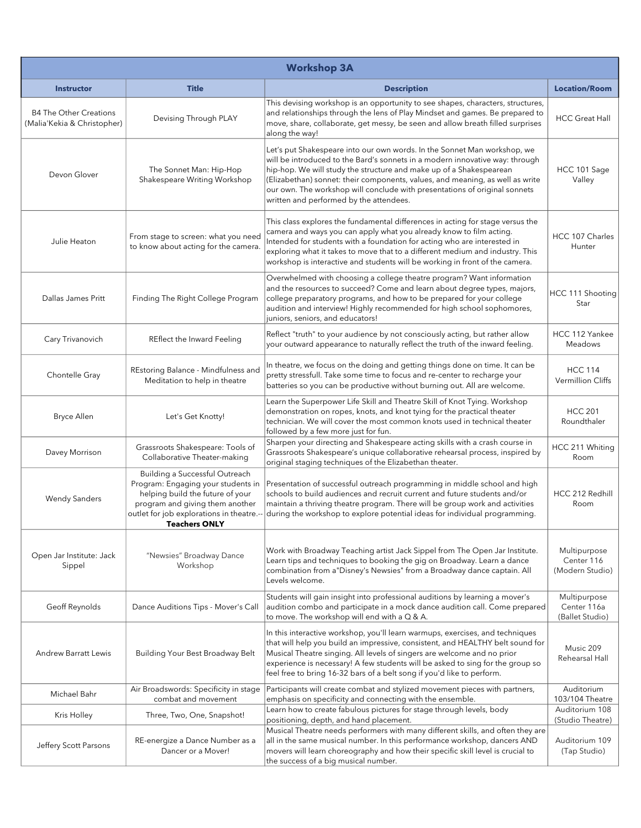| <b>Workshop 3A</b>                                           |                                                                                                                                                                                                                 |                                                                                                                                                                                                                                                                                                                                                                                                                                           |                                                |
|--------------------------------------------------------------|-----------------------------------------------------------------------------------------------------------------------------------------------------------------------------------------------------------------|-------------------------------------------------------------------------------------------------------------------------------------------------------------------------------------------------------------------------------------------------------------------------------------------------------------------------------------------------------------------------------------------------------------------------------------------|------------------------------------------------|
| <b>Instructor</b>                                            | <b>Title</b>                                                                                                                                                                                                    | <b>Description</b>                                                                                                                                                                                                                                                                                                                                                                                                                        | <b>Location/Room</b>                           |
| <b>B4 The Other Creations</b><br>(Malia'Kekia & Christopher) | Devising Through PLAY                                                                                                                                                                                           | This devising workshop is an opportunity to see shapes, characters, structures,<br>and relationships through the lens of Play Mindset and games. Be prepared to<br>move, share, collaborate, get messy, be seen and allow breath filled surprises<br>along the way!                                                                                                                                                                       | <b>HCC Great Hall</b>                          |
| Devon Glover                                                 | The Sonnet Man: Hip-Hop<br>Shakespeare Writing Workshop                                                                                                                                                         | Let's put Shakespeare into our own words. In the Sonnet Man workshop, we<br>will be introduced to the Bard's sonnets in a modern innovative way: through<br>hip-hop. We will study the structure and make up of a Shakespearean<br>(Elizabethan) sonnet: their components, values, and meaning, as well as write<br>our own. The workshop will conclude with presentations of original sonnets<br>written and performed by the attendees. | HCC 101 Sage<br>Valley                         |
| Julie Heaton                                                 | From stage to screen: what you need<br>to know about acting for the camera.                                                                                                                                     | This class explores the fundamental differences in acting for stage versus the<br>camera and ways you can apply what you already know to film acting.<br>Intended for students with a foundation for acting who are interested in<br>exploring what it takes to move that to a different medium and industry. This<br>workshop is interactive and students will be working in front of the camera.                                        | HCC 107 Charles<br>Hunter                      |
| Dallas James Pritt                                           | Finding The Right College Program                                                                                                                                                                               | Overwhelmed with choosing a college theatre program? Want information<br>and the resources to succeed? Come and learn about degree types, majors,<br>college preparatory programs, and how to be prepared for your college<br>audition and interview! Highly recommended for high school sophomores,<br>juniors, seniors, and educators!                                                                                                  | HCC 111 Shooting<br>Star                       |
| Cary Trivanovich                                             | REflect the Inward Feeling                                                                                                                                                                                      | Reflect "truth" to your audience by not consciously acting, but rather allow<br>your outward appearance to naturally reflect the truth of the inward feeling.                                                                                                                                                                                                                                                                             | HCC 112 Yankee<br>Meadows                      |
| Chontelle Gray                                               | REstoring Balance - Mindfulness and<br>Meditation to help in theatre                                                                                                                                            | In theatre, we focus on the doing and getting things done on time. It can be<br>pretty stressfull. Take some time to focus and re-center to recharge your<br>batteries so you can be productive without burning out. All are welcome.                                                                                                                                                                                                     | <b>HCC 114</b><br><b>Vermillion Cliffs</b>     |
| <b>Bryce Allen</b>                                           | Let's Get Knotty!                                                                                                                                                                                               | Learn the Superpower Life Skill and Theatre Skill of Knot Tying. Workshop<br>demonstration on ropes, knots, and knot tying for the practical theater<br>technician. We will cover the most common knots used in technical theater<br>followed by a few more just for fun.                                                                                                                                                                 | <b>HCC 201</b><br>Roundthaler                  |
| Davey Morrison                                               | Grassroots Shakespeare: Tools of<br>Collaborative Theater-making                                                                                                                                                | Sharpen your directing and Shakespeare acting skills with a crash course in<br>Grassroots Shakespeare's unique collaborative rehearsal process, inspired by<br>original staging techniques of the Elizabethan theater.                                                                                                                                                                                                                    | HCC 211 Whiting<br>Room                        |
| <b>Wendy Sanders</b>                                         | Building a Successful Outreach<br>Program: Engaging your students in<br>helping build the future of your<br>program and giving them another<br>outlet for job explorations in theatre.-<br><b>Teachers ONLY</b> | Presentation of successful outreach programming in middle school and high<br>schools to build audiences and recruit current and future students and/or<br>maintain a thriving theatre program. There will be group work and activities<br>during the workshop to explore potential ideas for individual programming.                                                                                                                      | HCC 212 Redhill<br>Room                        |
| Open Jar Institute: Jack<br>Sippel                           | "Newsies" Broadway Dance<br>Workshop                                                                                                                                                                            | Work with Broadway Teaching artist Jack Sippel from The Open Jar Institute.<br>Learn tips and techniques to booking the gig on Broadway. Learn a dance<br>combination from a"Disney's Newsies" from a Broadway dance captain. All<br>Levels welcome.                                                                                                                                                                                      | Multipurpose<br>Center 116<br>(Modern Studio)  |
| Geoff Reynolds                                               | Dance Auditions Tips - Mover's Call                                                                                                                                                                             | Students will gain insight into professional auditions by learning a mover's<br>audition combo and participate in a mock dance audition call. Come prepared<br>to move. The workshop will end with a Q & A.                                                                                                                                                                                                                               | Multipurpose<br>Center 116a<br>(Ballet Studio) |
| <b>Andrew Barratt Lewis</b>                                  | Building Your Best Broadway Belt                                                                                                                                                                                | In this interactive workshop, you'll learn warmups, exercises, and techniques<br>that will help you build an impressive, consistent, and HEALTHY belt sound for<br>Musical Theatre singing. All levels of singers are welcome and no prior<br>experience is necessary! A few students will be asked to sing for the group so<br>feel free to bring 16-32 bars of a belt song if you'd like to perform.                                    | Music 209<br>Rehearsal Hall                    |
| Michael Bahr                                                 | Air Broadswords: Specificity in stage<br>combat and movement                                                                                                                                                    | Participants will create combat and stylized movement pieces with partners,<br>emphasis on specificity and connecting with the ensemble.                                                                                                                                                                                                                                                                                                  | Auditorium<br>103/104 Theatre                  |
| Kris Holley                                                  | Three, Two, One, Snapshot!                                                                                                                                                                                      | Learn how to create fabulous pictures for stage through levels, body<br>positioning, depth, and hand placement.                                                                                                                                                                                                                                                                                                                           | Auditorium 108<br>(Studio Theatre)             |
| Jeffery Scott Parsons                                        | RE-energize a Dance Number as a<br>Dancer or a Mover!                                                                                                                                                           | Musical Theatre needs performers with many different skills, and often they are<br>all in the same musical number. In this performance workshop, dancers AND<br>movers will learn choreography and how their specific skill level is crucial to<br>the success of a big musical number.                                                                                                                                                   | Auditorium 109<br>(Tap Studio)                 |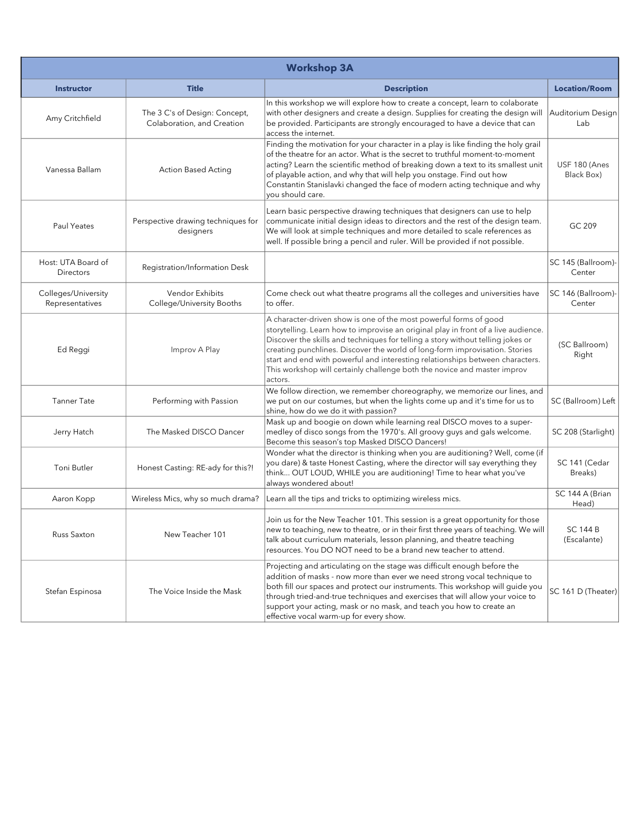| <b>Workshop 3A</b>                     |                                                             |                                                                                                                                                                                                                                                                                                                                                                                                                                                                                                   |                                |
|----------------------------------------|-------------------------------------------------------------|---------------------------------------------------------------------------------------------------------------------------------------------------------------------------------------------------------------------------------------------------------------------------------------------------------------------------------------------------------------------------------------------------------------------------------------------------------------------------------------------------|--------------------------------|
| <b>Instructor</b>                      | <b>Title</b>                                                | <b>Description</b>                                                                                                                                                                                                                                                                                                                                                                                                                                                                                | <b>Location/Room</b>           |
| Amy Critchfield                        | The 3 C's of Design: Concept,<br>Colaboration, and Creation | In this workshop we will explore how to create a concept, learn to colaborate<br>with other designers and create a design. Supplies for creating the design will<br>be provided. Participants are strongly encouraged to have a device that can<br>access the internet.                                                                                                                                                                                                                           | Auditorium Design<br>Lab       |
| Vanessa Ballam                         | <b>Action Based Acting</b>                                  | Finding the motivation for your character in a play is like finding the holy grail<br>of the theatre for an actor. What is the secret to truthful moment-to-moment<br>acting? Learn the scientific method of breaking down a text to its smallest unit<br>of playable action, and why that will help you onstage. Find out how<br>Constantin Stanislavki changed the face of modern acting technique and why<br>you should care.                                                                  | USF 180 (Anes<br>Black Box)    |
| Paul Yeates                            | Perspective drawing techniques for<br>designers             | Learn basic perspective drawing techniques that designers can use to help<br>communicate initial design ideas to directors and the rest of the design team.<br>We will look at simple techniques and more detailed to scale references as<br>well. If possible bring a pencil and ruler. Will be provided if not possible.                                                                                                                                                                        | GC 209                         |
| Host: UTA Board of<br><b>Directors</b> | Registration/Information Desk                               |                                                                                                                                                                                                                                                                                                                                                                                                                                                                                                   | SC 145 (Ballroom)-<br>Center   |
| Colleges/University<br>Representatives | Vendor Exhibits<br>College/University Booths                | Come check out what theatre programs all the colleges and universities have<br>to offer.                                                                                                                                                                                                                                                                                                                                                                                                          | SC 146 (Ballroom)-<br>Center   |
| Ed Reggi                               | Improv A Play                                               | A character-driven show is one of the most powerful forms of good<br>storytelling. Learn how to improvise an original play in front of a live audience.<br>Discover the skills and techniques for telling a story without telling jokes or<br>creating punchlines. Discover the world of long-form improvisation. Stories<br>start and end with powerful and interesting relationships between characters.<br>This workshop will certainly challenge both the novice and master improv<br>actors. | (SC Ballroom)<br>Right         |
| <b>Tanner Tate</b>                     | Performing with Passion                                     | We follow direction, we remember choreography, we memorize our lines, and<br>we put on our costumes, but when the lights come up and it's time for us to<br>shine, how do we do it with passion?                                                                                                                                                                                                                                                                                                  | SC (Ballroom) Left             |
| Jerry Hatch                            | The Masked DISCO Dancer                                     | Mask up and boogie on down while learning real DISCO moves to a super-<br>medley of disco songs from the 1970's. All groovy guys and gals welcome.<br>Become this season's top Masked DISCO Dancers!                                                                                                                                                                                                                                                                                              | SC 208 (Starlight)             |
| Toni Butler                            | Honest Casting: RE-ady for this?!                           | Wonder what the director is thinking when you are auditioning? Well, come (if<br>you dare) & taste Honest Casting, where the director will say everything they<br>think OUT LOUD, WHILE you are auditioning! Time to hear what you've<br>always wondered about!                                                                                                                                                                                                                                   | SC 141 (Cedar<br>Breaks)       |
| Aaron Kopp                             | Wireless Mics, why so much drama?                           | Learn all the tips and tricks to optimizing wireless mics.                                                                                                                                                                                                                                                                                                                                                                                                                                        | SC 144 A (Brian<br>Head)       |
| Russ Saxton                            | New Teacher 101                                             | Join us for the New Teacher 101. This session is a great opportunity for those<br>new to teaching, new to theatre, or in their first three years of teaching. We will<br>talk about curriculum materials, lesson planning, and theatre teaching<br>resources. You DO NOT need to be a brand new teacher to attend.                                                                                                                                                                                | <b>SC 144 B</b><br>(Escalante) |
| Stefan Espinosa                        | The Voice Inside the Mask                                   | Projecting and articulating on the stage was difficult enough before the<br>addition of masks - now more than ever we need strong vocal technique to<br>both fill our spaces and protect our instruments. This workshop will guide you<br>through tried-and-true techniques and exercises that will allow your voice to<br>support your acting, mask or no mask, and teach you how to create an<br>effective vocal warm-up for every show.                                                        | SC 161 D (Theater)             |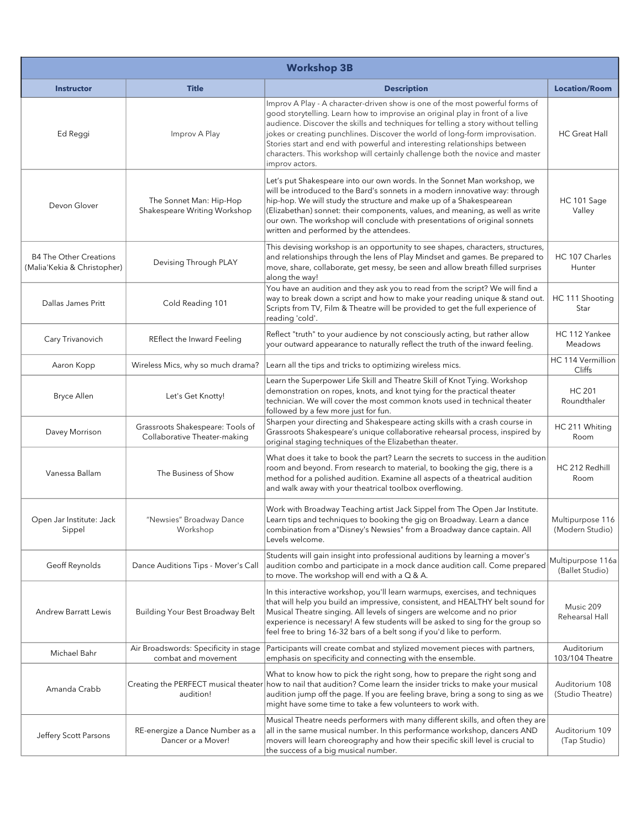| <b>Workshop 3B</b>                                           |                                                                  |                                                                                                                                                                                                                                                                                                                                                                                                                                                                                                                   |                                      |
|--------------------------------------------------------------|------------------------------------------------------------------|-------------------------------------------------------------------------------------------------------------------------------------------------------------------------------------------------------------------------------------------------------------------------------------------------------------------------------------------------------------------------------------------------------------------------------------------------------------------------------------------------------------------|--------------------------------------|
| <b>Instructor</b>                                            | <b>Title</b>                                                     | <b>Description</b>                                                                                                                                                                                                                                                                                                                                                                                                                                                                                                | <b>Location/Room</b>                 |
| Ed Reggi                                                     | Improv A Play                                                    | Improv A Play - A character-driven show is one of the most powerful forms of<br>good storytelling. Learn how to improvise an original play in front of a live<br>audience. Discover the skills and techniques for telling a story without telling<br>jokes or creating punchlines. Discover the world of long-form improvisation.<br>Stories start and end with powerful and interesting relationships between<br>characters. This workshop will certainly challenge both the novice and master<br>improv actors. | <b>HC</b> Great Hall                 |
| Devon Glover                                                 | The Sonnet Man: Hip-Hop<br>Shakespeare Writing Workshop          | Let's put Shakespeare into our own words. In the Sonnet Man workshop, we<br>will be introduced to the Bard's sonnets in a modern innovative way: through<br>hip-hop. We will study the structure and make up of a Shakespearean<br>(Elizabethan) sonnet: their components, values, and meaning, as well as write<br>our own. The workshop will conclude with presentations of original sonnets<br>written and performed by the attendees.                                                                         | HC 101 Sage<br>Valley                |
| <b>B4 The Other Creations</b><br>(Malia'Kekia & Christopher) | Devising Through PLAY                                            | This devising workshop is an opportunity to see shapes, characters, structures,<br>and relationships through the lens of Play Mindset and games. Be prepared to<br>move, share, collaborate, get messy, be seen and allow breath filled surprises<br>along the way!                                                                                                                                                                                                                                               | HC 107 Charles<br>Hunter             |
| Dallas James Pritt                                           | Cold Reading 101                                                 | You have an audition and they ask you to read from the script? We will find a<br>way to break down a script and how to make your reading unique & stand out.<br>Scripts from TV, Film & Theatre will be provided to get the full experience of<br>reading 'cold'.                                                                                                                                                                                                                                                 | HC 111 Shooting<br>Star              |
| Cary Trivanovich                                             | REflect the Inward Feeling                                       | Reflect "truth" to your audience by not consciously acting, but rather allow<br>your outward appearance to naturally reflect the truth of the inward feeling.                                                                                                                                                                                                                                                                                                                                                     | HC 112 Yankee<br><b>Meadows</b>      |
| Aaron Kopp                                                   | Wireless Mics, why so much drama?                                | Learn all the tips and tricks to optimizing wireless mics.                                                                                                                                                                                                                                                                                                                                                                                                                                                        | HC 114 Vermillion<br>Cliffs          |
| <b>Bryce Allen</b>                                           | Let's Get Knotty!                                                | Learn the Superpower Life Skill and Theatre Skill of Knot Tying. Workshop<br>demonstration on ropes, knots, and knot tying for the practical theater<br>technician. We will cover the most common knots used in technical theater<br>followed by a few more just for fun.                                                                                                                                                                                                                                         | <b>HC 201</b><br>Roundthaler         |
| Davey Morrison                                               | Grassroots Shakespeare: Tools of<br>Collaborative Theater-making | Sharpen your directing and Shakespeare acting skills with a crash course in<br>Grassroots Shakespeare's unique collaborative rehearsal process, inspired by<br>original staging techniques of the Elizabethan theater.                                                                                                                                                                                                                                                                                            | HC 211 Whiting<br>Room               |
| Vanessa Ballam                                               | The Business of Show                                             | What does it take to book the part? Learn the secrets to success in the audition<br>room and beyond. From research to material, to booking the gig, there is a<br>method for a polished audition. Examine all aspects of a theatrical audition<br>and walk away with your theatrical toolbox overflowing.                                                                                                                                                                                                         | HC 212 Redhill<br>Room               |
| Open Jar Institute: Jack<br>Sippel                           | "Newsies" Broadway Dance<br>Workshop                             | Work with Broadway Teaching artist Jack Sippel from The Open Jar Institute.<br>Learn tips and techniques to booking the gig on Broadway. Learn a dance<br>combination from a"Disney's Newsies" from a Broadway dance captain. All<br>Levels welcome.                                                                                                                                                                                                                                                              | Multipurpose 116<br>(Modern Studio)  |
| Geoff Reynolds                                               | Dance Auditions Tips - Mover's Call                              | Students will gain insight into professional auditions by learning a mover's<br>audition combo and participate in a mock dance audition call. Come prepared<br>to move. The workshop will end with a $Q & A$ .                                                                                                                                                                                                                                                                                                    | Multipurpose 116a<br>(Ballet Studio) |
| <b>Andrew Barratt Lewis</b>                                  | Building Your Best Broadway Belt                                 | In this interactive workshop, you'll learn warmups, exercises, and techniques<br>that will help you build an impressive, consistent, and HEALTHY belt sound for<br>Musical Theatre singing. All levels of singers are welcome and no prior<br>experience is necessary! A few students will be asked to sing for the group so<br>feel free to bring 16-32 bars of a belt song if you'd like to perform.                                                                                                            | Music 209<br>Rehearsal Hall          |
| Michael Bahr                                                 | Air Broadswords: Specificity in stage<br>combat and movement     | Participants will create combat and stylized movement pieces with partners,<br>emphasis on specificity and connecting with the ensemble.                                                                                                                                                                                                                                                                                                                                                                          | Auditorium<br>103/104 Theatre        |
| Amanda Crabb                                                 | audition!                                                        | What to know how to pick the right song, how to prepare the right song and<br>Creating the PERFECT musical theater how to nail that audition? Come learn the insider tricks to make your musical<br>audition jump off the page. If you are feeling brave, bring a song to sing as we<br>might have some time to take a few volunteers to work with.                                                                                                                                                               | Auditorium 108<br>(Studio Theatre)   |
| Jeffery Scott Parsons                                        | RE-energize a Dance Number as a<br>Dancer or a Mover!            | Musical Theatre needs performers with many different skills, and often they are<br>all in the same musical number. In this performance workshop, dancers AND<br>movers will learn choreography and how their specific skill level is crucial to<br>the success of a big musical number.                                                                                                                                                                                                                           | Auditorium 109<br>(Tap Studio)       |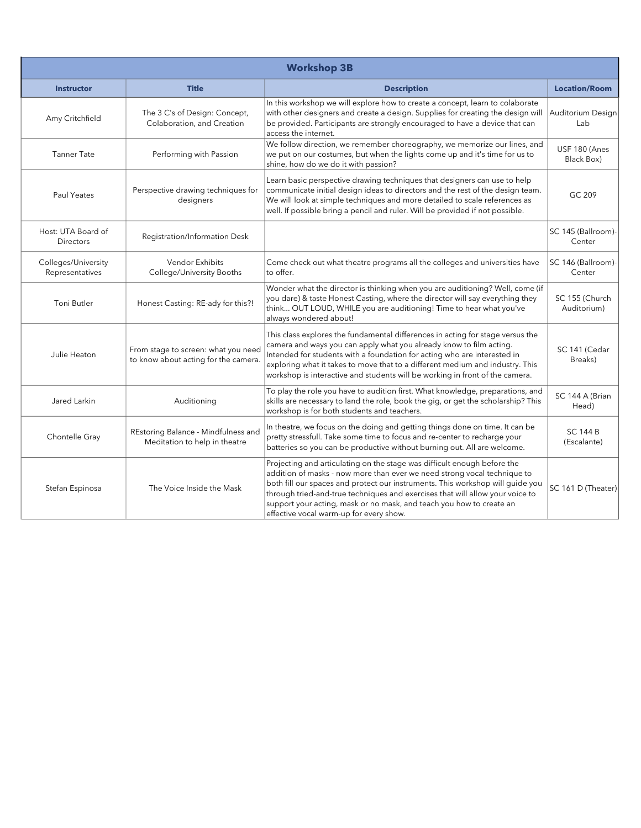| <b>Workshop 3B</b>                     |                                                                             |                                                                                                                                                                                                                                                                                                                                                                                                                                            |                                |
|----------------------------------------|-----------------------------------------------------------------------------|--------------------------------------------------------------------------------------------------------------------------------------------------------------------------------------------------------------------------------------------------------------------------------------------------------------------------------------------------------------------------------------------------------------------------------------------|--------------------------------|
| <b>Instructor</b>                      | <b>Title</b>                                                                | <b>Description</b>                                                                                                                                                                                                                                                                                                                                                                                                                         | <b>Location/Room</b>           |
| Amy Critchfield                        | The 3 C's of Design: Concept,<br>Colaboration, and Creation                 | In this workshop we will explore how to create a concept, learn to colaborate<br>with other designers and create a design. Supplies for creating the design will<br>be provided. Participants are strongly encouraged to have a device that can<br>access the internet.                                                                                                                                                                    | Auditorium Design<br>Lab       |
| <b>Tanner Tate</b>                     | Performing with Passion                                                     | We follow direction, we remember choreography, we memorize our lines, and<br>we put on our costumes, but when the lights come up and it's time for us to<br>shine, how do we do it with passion?                                                                                                                                                                                                                                           | USF 180 (Anes<br>Black Box)    |
| Paul Yeates                            | Perspective drawing techniques for<br>designers                             | Learn basic perspective drawing techniques that designers can use to help<br>communicate initial design ideas to directors and the rest of the design team.<br>We will look at simple techniques and more detailed to scale references as<br>well. If possible bring a pencil and ruler. Will be provided if not possible.                                                                                                                 | GC 209                         |
| Host: UTA Board of<br><b>Directors</b> | Registration/Information Desk                                               |                                                                                                                                                                                                                                                                                                                                                                                                                                            | SC 145 (Ballroom)-<br>Center   |
| Colleges/University<br>Representatives | <b>Vendor Exhibits</b><br>College/University Booths                         | Come check out what theatre programs all the colleges and universities have<br>to offer.                                                                                                                                                                                                                                                                                                                                                   | SC 146 (Ballroom)-<br>Center   |
| Toni Butler                            | Honest Casting: RE-ady for this?!                                           | Wonder what the director is thinking when you are auditioning? Well, come (if<br>you dare) & taste Honest Casting, where the director will say everything they<br>think OUT LOUD, WHILE you are auditioning! Time to hear what you've<br>always wondered about!                                                                                                                                                                            | SC 155 (Church<br>Auditorium)  |
| Julie Heaton                           | From stage to screen: what you need<br>to know about acting for the camera. | This class explores the fundamental differences in acting for stage versus the<br>camera and ways you can apply what you already know to film acting.<br>Intended for students with a foundation for acting who are interested in<br>exploring what it takes to move that to a different medium and industry. This<br>workshop is interactive and students will be working in front of the camera.                                         | SC 141 (Cedar<br>Breaks)       |
| Jared Larkin                           | Auditioning                                                                 | To play the role you have to audition first. What knowledge, preparations, and<br>skills are necessary to land the role, book the gig, or get the scholarship? This<br>workshop is for both students and teachers.                                                                                                                                                                                                                         | SC 144 A (Brian<br>Head)       |
| Chontelle Gray                         | REstoring Balance - Mindfulness and<br>Meditation to help in theatre        | In theatre, we focus on the doing and getting things done on time. It can be<br>pretty stressfull. Take some time to focus and re-center to recharge your<br>batteries so you can be productive without burning out. All are welcome.                                                                                                                                                                                                      | <b>SC 144 B</b><br>(Escalante) |
| Stefan Espinosa                        | The Voice Inside the Mask                                                   | Projecting and articulating on the stage was difficult enough before the<br>addition of masks - now more than ever we need strong vocal technique to<br>both fill our spaces and protect our instruments. This workshop will guide you<br>through tried-and-true techniques and exercises that will allow your voice to<br>support your acting, mask or no mask, and teach you how to create an<br>effective vocal warm-up for every show. | SC 161 D (Theater)             |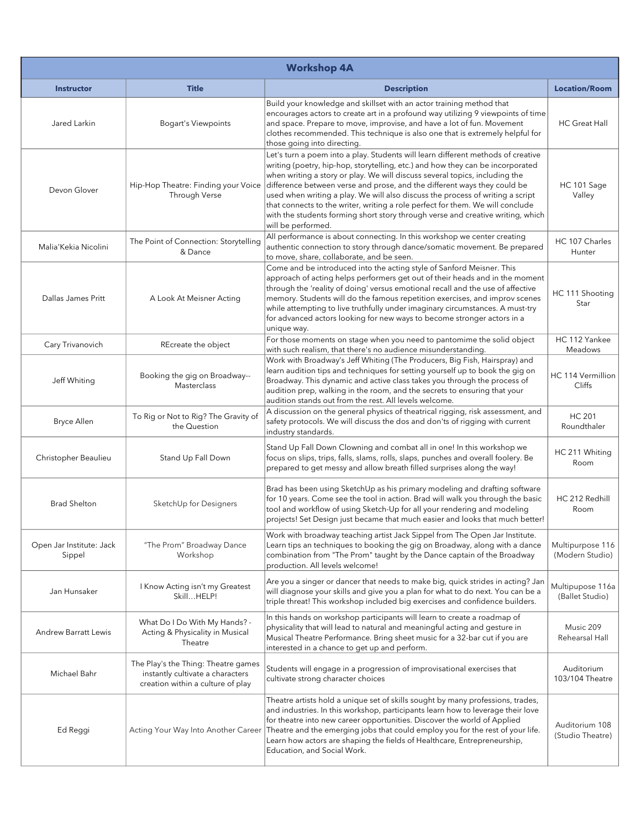| <b>Workshop 4A</b>                 |                                                                                                              |                                                                                                                                                                                                                                                                                                                                                                                                                                                                                                                                                                                                            |                                     |
|------------------------------------|--------------------------------------------------------------------------------------------------------------|------------------------------------------------------------------------------------------------------------------------------------------------------------------------------------------------------------------------------------------------------------------------------------------------------------------------------------------------------------------------------------------------------------------------------------------------------------------------------------------------------------------------------------------------------------------------------------------------------------|-------------------------------------|
| <b>Instructor</b>                  | <b>Title</b>                                                                                                 | <b>Description</b>                                                                                                                                                                                                                                                                                                                                                                                                                                                                                                                                                                                         | <b>Location/Room</b>                |
| Jared Larkin                       | <b>Bogart's Viewpoints</b>                                                                                   | Build your knowledge and skillset with an actor training method that<br>encourages actors to create art in a profound way utilizing 9 viewpoints of time<br>and space. Prepare to move, improvise, and have a lot of fun. Movement<br>clothes recommended. This technique is also one that is extremely helpful for<br>those going into directing.                                                                                                                                                                                                                                                         | <b>HC Great Hall</b>                |
| Devon Glover                       | Hip-Hop Theatre: Finding your Voice<br>Through Verse                                                         | Let's turn a poem into a play. Students will learn different methods of creative<br>writing (poetry, hip-hop, storytelling, etc.) and how they can be incorporated<br>when writing a story or play. We will discuss several topics, including the<br>difference between verse and prose, and the different ways they could be<br>used when writing a play. We will also discuss the process of writing a script<br>that connects to the writer, writing a role perfect for them. We will conclude<br>with the students forming short story through verse and creative writing, which<br>will be performed. | HC 101 Sage<br>Valley               |
| Malia'Kekia Nicolini               | The Point of Connection: Storytelling<br>& Dance                                                             | All performance is about connecting. In this workshop we center creating<br>authentic connection to story through dance/somatic movement. Be prepared<br>to move, share, collaborate, and be seen.                                                                                                                                                                                                                                                                                                                                                                                                         | HC 107 Charles<br>Hunter            |
| Dallas James Pritt                 | A Look At Meisner Acting                                                                                     | Come and be introduced into the acting style of Sanford Meisner. This<br>approach of acting helps performers get out of their heads and in the moment<br>through the 'reality of doing' versus emotional recall and the use of affective<br>memory. Students will do the famous repetition exercises, and improv scenes<br>while attempting to live truthfully under imaginary circumstances. A must-try<br>for advanced actors looking for new ways to become stronger actors in a<br>unique way.                                                                                                         | HC 111 Shooting<br>Star             |
| Cary Trivanovich                   | REcreate the object                                                                                          | For those moments on stage when you need to pantomime the solid object<br>with such realism, that there's no audience misunderstanding.                                                                                                                                                                                                                                                                                                                                                                                                                                                                    | HC 112 Yankee<br>Meadows            |
| Jeff Whiting                       | Booking the gig on Broadway--<br>Masterclass                                                                 | Work with Broadway's Jeff Whiting (The Producers, Big Fish, Hairspray) and<br>learn audition tips and techniques for setting yourself up to book the gig on<br>Broadway. This dynamic and active class takes you through the process of<br>audition prep, walking in the room, and the secrets to ensuring that your<br>audition stands out from the rest. All levels welcome.                                                                                                                                                                                                                             | HC 114 Vermillion<br>Cliffs         |
| <b>Bryce Allen</b>                 | To Rig or Not to Rig? The Gravity of<br>the Question                                                         | A discussion on the general physics of theatrical rigging, risk assessment, and<br>safety protocols. We will discuss the dos and don'ts of rigging with current<br>industry standards.                                                                                                                                                                                                                                                                                                                                                                                                                     | <b>HC 201</b><br>Roundthaler        |
| Christopher Beaulieu               | Stand Up Fall Down                                                                                           | Stand Up Fall Down Clowning and combat all in one! In this workshop we<br>focus on slips, trips, falls, slams, rolls, slaps, punches and overall foolery. Be<br>prepared to get messy and allow breath filled surprises along the way!                                                                                                                                                                                                                                                                                                                                                                     | HC 211 Whiting<br>Room              |
| <b>Brad Shelton</b>                | SketchUp for Designers                                                                                       | Brad has been using SketchUp as his primary modeling and drafting software<br>for 10 years. Come see the tool in action. Brad will walk you through the basic<br>tool and workflow of using Sketch-Up for all your rendering and modeling<br>projects! Set Design just became that much easier and looks that much better!                                                                                                                                                                                                                                                                                 | HC 212 Redhill<br>Room              |
| Open Jar Institute: Jack<br>Sippel | "The Prom" Broadway Dance<br>Workshop                                                                        | Work with broadway teaching artist Jack Sippel from The Open Jar Institute.<br>Learn tips an techniques to booking the gig on Broadway, along with a dance<br>combination from "The Prom" taught by the Dance captain of the Broadway<br>production. All levels welcome!                                                                                                                                                                                                                                                                                                                                   | Multipurpose 116<br>(Modern Studio) |
| Jan Hunsaker                       | I Know Acting isn't my Greatest<br>SkillHELP!                                                                | Are you a singer or dancer that needs to make big, quick strides in acting? Jan<br>will diagnose your skills and give you a plan for what to do next. You can be a<br>triple threat! This workshop included big exercises and confidence builders.                                                                                                                                                                                                                                                                                                                                                         | Multipupose 116a<br>(Ballet Studio) |
| <b>Andrew Barratt Lewis</b>        | What Do I Do With My Hands? -<br>Acting & Physicality in Musical<br>Theatre                                  | In this hands on workshop participants will learn to create a roadmap of<br>physicality that will lead to natural and meaningful acting and gesture in<br>Musical Theatre Performance. Bring sheet music for a 32-bar cut if you are<br>interested in a chance to get up and perform.                                                                                                                                                                                                                                                                                                                      | Music 209<br>Rehearsal Hall         |
| Michael Bahr                       | The Play's the Thing: Theatre games<br>instantly cultivate a characters<br>creation within a culture of play | Students will engage in a progression of improvisational exercises that<br>cultivate strong character choices                                                                                                                                                                                                                                                                                                                                                                                                                                                                                              | Auditorium<br>103/104 Theatre       |
| Ed Reggi                           | Acting Your Way Into Another Career                                                                          | Theatre artists hold a unique set of skills sought by many professions, trades,<br>and industries. In this workshop, participants learn how to leverage their love<br>for theatre into new career opportunities. Discover the world of Applied<br>Theatre and the emerging jobs that could employ you for the rest of your life.<br>Learn how actors are shaping the fields of Healthcare, Entrepreneurship,<br>Education, and Social Work.                                                                                                                                                                | Auditorium 108<br>(Studio Theatre)  |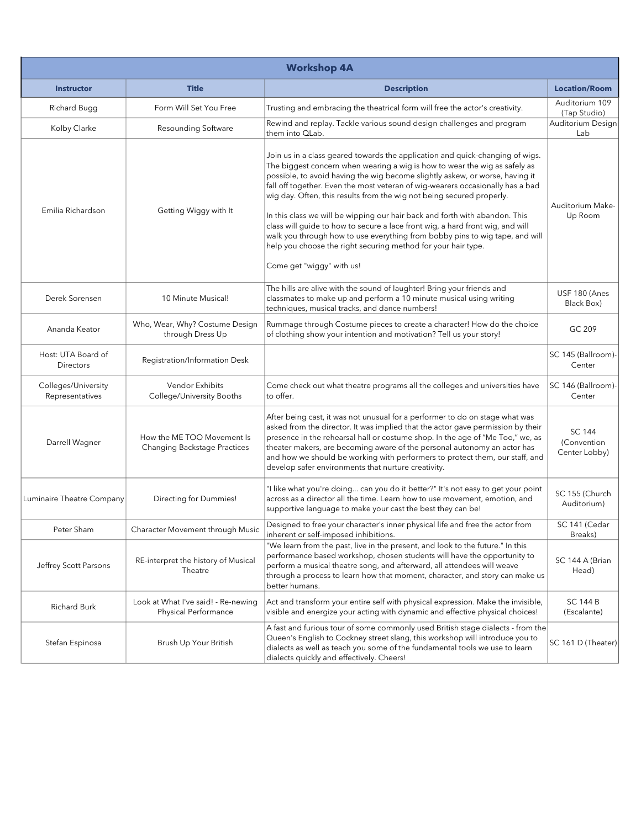| <b>Workshop 4A</b>                     |                                                                   |                                                                                                                                                                                                                                                                                                                                                                                                                                                                                                                                                                                                                                                                                                                                                       |                                               |
|----------------------------------------|-------------------------------------------------------------------|-------------------------------------------------------------------------------------------------------------------------------------------------------------------------------------------------------------------------------------------------------------------------------------------------------------------------------------------------------------------------------------------------------------------------------------------------------------------------------------------------------------------------------------------------------------------------------------------------------------------------------------------------------------------------------------------------------------------------------------------------------|-----------------------------------------------|
| <b>Instructor</b>                      | <b>Title</b>                                                      | <b>Description</b>                                                                                                                                                                                                                                                                                                                                                                                                                                                                                                                                                                                                                                                                                                                                    | <b>Location/Room</b>                          |
| Richard Bugg                           | Form Will Set You Free                                            | Trusting and embracing the theatrical form will free the actor's creativity.                                                                                                                                                                                                                                                                                                                                                                                                                                                                                                                                                                                                                                                                          | Auditorium 109<br>(Tap Studio)                |
| Kolby Clarke                           | Resounding Software                                               | Rewind and replay. Tackle various sound design challenges and program<br>them into QLab.                                                                                                                                                                                                                                                                                                                                                                                                                                                                                                                                                                                                                                                              | Auditorium Design<br>Lab                      |
| Emilia Richardson                      | Getting Wiggy with It                                             | Join us in a class geared towards the application and quick-changing of wigs.<br>The biggest concern when wearing a wig is how to wear the wig as safely as<br>possible, to avoid having the wig become slightly askew, or worse, having it<br>fall off together. Even the most veteran of wig-wearers occasionally has a bad<br>wig day. Often, this results from the wig not being secured properly.<br>In this class we will be wipping our hair back and forth with abandon. This<br>class will guide to how to secure a lace front wig, a hard front wig, and will<br>walk you through how to use everything from bobby pins to wig tape, and will<br>help you choose the right securing method for your hair type.<br>Come get "wiggy" with us! | Auditorium Make-<br>Up Room                   |
| Derek Sorensen                         | 10 Minute Musical!                                                | The hills are alive with the sound of laughter! Bring your friends and<br>classmates to make up and perform a 10 minute musical using writing<br>techniques, musical tracks, and dance numbers!                                                                                                                                                                                                                                                                                                                                                                                                                                                                                                                                                       | USF 180 (Anes<br>Black Box)                   |
| Ananda Keator                          | Who, Wear, Why? Costume Design<br>through Dress Up                | Rummage through Costume pieces to create a character! How do the choice<br>of clothing show your intention and motivation? Tell us your story!                                                                                                                                                                                                                                                                                                                                                                                                                                                                                                                                                                                                        | GC 209                                        |
| Host: UTA Board of<br>Directors        | Registration/Information Desk                                     |                                                                                                                                                                                                                                                                                                                                                                                                                                                                                                                                                                                                                                                                                                                                                       | SC 145 (Ballroom)-<br>Center                  |
| Colleges/University<br>Representatives | Vendor Exhibits<br>College/University Booths                      | Come check out what theatre programs all the colleges and universities have<br>to offer.                                                                                                                                                                                                                                                                                                                                                                                                                                                                                                                                                                                                                                                              | SC 146 (Ballroom)-<br>Center                  |
| Darrell Wagner                         | How the ME TOO Movement Is<br><b>Changing Backstage Practices</b> | After being cast, it was not unusual for a performer to do on stage what was<br>asked from the director. It was implied that the actor gave permission by their<br>presence in the rehearsal hall or costume shop. In the age of "Me Too," we, as<br>theater makers, are becoming aware of the personal autonomy an actor has<br>and how we should be working with performers to protect them, our staff, and<br>develop safer environments that nurture creativity.                                                                                                                                                                                                                                                                                  | <b>SC 144</b><br>(Convention<br>Center Lobby) |
| Luminaire Theatre Company              | Directing for Dummies!                                            | "I like what you're doing can you do it better?" It's not easy to get your point<br>across as a director all the time. Learn how to use movement, emotion, and<br>supportive language to make your cast the best they can be!                                                                                                                                                                                                                                                                                                                                                                                                                                                                                                                         | SC 155 (Church<br>Auditorium)                 |
| Peter Sham                             | Character Movement through Music                                  | Designed to free your character's inner physical life and free the actor from<br>inherent or self-imposed inhibitions.                                                                                                                                                                                                                                                                                                                                                                                                                                                                                                                                                                                                                                | SC 141 (Cedar<br>Breaks)                      |
| Jeffrey Scott Parsons                  | RE-interpret the history of Musical<br>Theatre                    | "We learn from the past, live in the present, and look to the future." In this<br>performance based workshop, chosen students will have the opportunity to<br>perform a musical theatre song, and afterward, all attendees will weave<br>through a process to learn how that moment, character, and story can make us<br>better humans.                                                                                                                                                                                                                                                                                                                                                                                                               | SC 144 A (Brian<br>Head)                      |
| Richard Burk                           | Look at What I've said! - Re-newing<br>Physical Performance       | Act and transform your entire self with physical expression. Make the invisible,<br>visible and energize your acting with dynamic and effective physical choices!                                                                                                                                                                                                                                                                                                                                                                                                                                                                                                                                                                                     | <b>SC 144 B</b><br>(Escalante)                |
| Stefan Espinosa                        | Brush Up Your British                                             | A fast and furious tour of some commonly used British stage dialects - from the<br>Queen's English to Cockney street slang, this workshop will introduce you to<br>dialects as well as teach you some of the fundamental tools we use to learn<br>dialects quickly and effectively. Cheers!                                                                                                                                                                                                                                                                                                                                                                                                                                                           | SC 161 D (Theater)                            |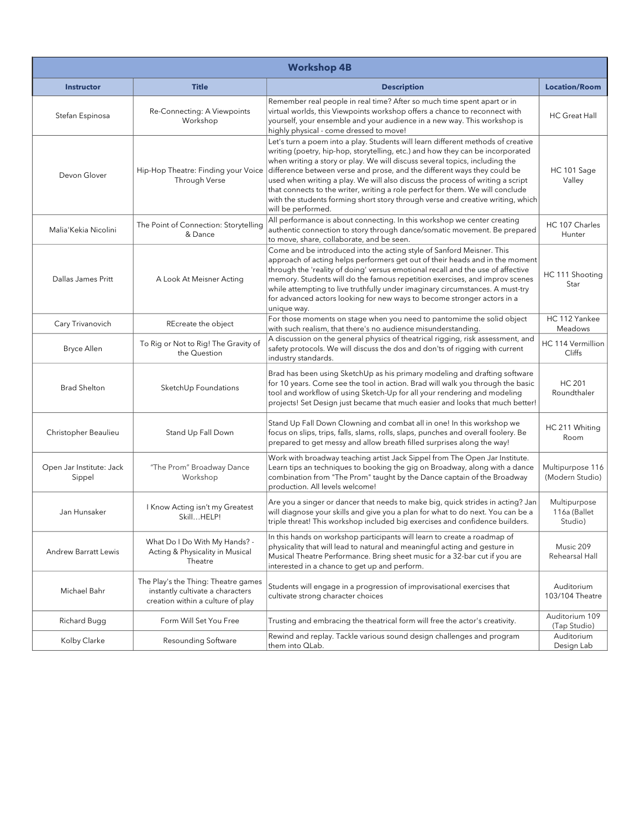| <b>Workshop 4B</b>                 |                                                                                                              |                                                                                                                                                                                                                                                                                                                                                                                                                                                                                                                                                                                                            |                                         |
|------------------------------------|--------------------------------------------------------------------------------------------------------------|------------------------------------------------------------------------------------------------------------------------------------------------------------------------------------------------------------------------------------------------------------------------------------------------------------------------------------------------------------------------------------------------------------------------------------------------------------------------------------------------------------------------------------------------------------------------------------------------------------|-----------------------------------------|
| <b>Instructor</b>                  | <b>Title</b>                                                                                                 | <b>Description</b>                                                                                                                                                                                                                                                                                                                                                                                                                                                                                                                                                                                         | <b>Location/Room</b>                    |
| Stefan Espinosa                    | Re-Connecting: A Viewpoints<br>Workshop                                                                      | Remember real people in real time? After so much time spent apart or in<br>virtual worlds, this Viewpoints workshop offers a chance to reconnect with<br>yourself, your ensemble and your audience in a new way. This workshop is<br>highly physical - come dressed to move!                                                                                                                                                                                                                                                                                                                               | <b>HC Great Hall</b>                    |
| Devon Glover                       | Hip-Hop Theatre: Finding your Voice<br>Through Verse                                                         | Let's turn a poem into a play. Students will learn different methods of creative<br>writing (poetry, hip-hop, storytelling, etc.) and how they can be incorporated<br>when writing a story or play. We will discuss several topics, including the<br>difference between verse and prose, and the different ways they could be<br>used when writing a play. We will also discuss the process of writing a script<br>that connects to the writer, writing a role perfect for them. We will conclude<br>with the students forming short story through verse and creative writing, which<br>will be performed. | HC 101 Sage<br>Valley                   |
| Malia'Kekia Nicolini               | The Point of Connection: Storytelling<br>& Dance                                                             | All performance is about connecting. In this workshop we center creating<br>authentic connection to story through dance/somatic movement. Be prepared<br>to move, share, collaborate, and be seen.                                                                                                                                                                                                                                                                                                                                                                                                         | HC 107 Charles<br>Hunter                |
| Dallas James Pritt                 | A Look At Meisner Acting                                                                                     | Come and be introduced into the acting style of Sanford Meisner. This<br>approach of acting helps performers get out of their heads and in the moment<br>through the 'reality of doing' versus emotional recall and the use of affective<br>memory. Students will do the famous repetition exercises, and improv scenes<br>while attempting to live truthfully under imaginary circumstances. A must-try<br>for advanced actors looking for new ways to become stronger actors in a<br>unique way.                                                                                                         | HC 111 Shooting<br>Star                 |
| Cary Trivanovich                   | REcreate the object                                                                                          | For those moments on stage when you need to pantomime the solid object<br>with such realism, that there's no audience misunderstanding.                                                                                                                                                                                                                                                                                                                                                                                                                                                                    | HC 112 Yankee<br>Meadows                |
| <b>Bryce Allen</b>                 | To Rig or Not to Rig! The Gravity of<br>the Question                                                         | A discussion on the general physics of theatrical rigging, risk assessment, and<br>safety protocols. We will discuss the dos and don'ts of rigging with current<br>industry standards.                                                                                                                                                                                                                                                                                                                                                                                                                     | HC 114 Vermillion<br>Cliffs             |
| <b>Brad Shelton</b>                | SketchUp Foundations                                                                                         | Brad has been using SketchUp as his primary modeling and drafting software<br>for 10 years. Come see the tool in action. Brad will walk you through the basic<br>tool and workflow of using Sketch-Up for all your rendering and modeling<br>projects! Set Design just became that much easier and looks that much better!                                                                                                                                                                                                                                                                                 | <b>HC 201</b><br>Roundthaler            |
| Christopher Beaulieu               | Stand Up Fall Down                                                                                           | Stand Up Fall Down Clowning and combat all in one! In this workshop we<br>focus on slips, trips, falls, slams, rolls, slaps, punches and overall foolery. Be<br>prepared to get messy and allow breath filled surprises along the way!                                                                                                                                                                                                                                                                                                                                                                     | HC 211 Whiting<br>Room                  |
| Open Jar Institute: Jack<br>Sippel | "The Prom" Broadway Dance<br>Workshop                                                                        | Work with broadway teaching artist Jack Sippel from The Open Jar Institute.<br>Learn tips an techniques to booking the gig on Broadway, along with a dance<br>combination from "The Prom" taught by the Dance captain of the Broadway<br>production. All levels welcome!                                                                                                                                                                                                                                                                                                                                   | Multipurpose 116<br>(Modern Studio)     |
| Jan Hunsaker                       | I Know Acting isn't my Greatest<br>SkillHELP!                                                                | Are you a singer or dancer that needs to make big, quick strides in acting? Jan<br>will diagnose your skills and give you a plan for what to do next. You can be a<br>triple threat! This workshop included big exercises and confidence builders.                                                                                                                                                                                                                                                                                                                                                         | Multipurpose<br>116a (Ballet<br>Studio) |
| <b>Andrew Barratt Lewis</b>        | What Do I Do With My Hands? -<br>Acting & Physicality in Musical<br>Theatre                                  | In this hands on workshop participants will learn to create a roadmap of<br>physicality that will lead to natural and meaningful acting and gesture in<br>Musical Theatre Performance. Bring sheet music for a 32-bar cut if you are<br>interested in a chance to get up and perform.                                                                                                                                                                                                                                                                                                                      | Music 209<br>Rehearsal Hall             |
| Michael Bahr                       | The Play's the Thing: Theatre games<br>instantly cultivate a characters<br>creation within a culture of play | Students will engage in a progression of improvisational exercises that<br>cultivate strong character choices                                                                                                                                                                                                                                                                                                                                                                                                                                                                                              | Auditorium<br>103/104 Theatre           |
| Richard Bugg                       | Form Will Set You Free                                                                                       | Trusting and embracing the theatrical form will free the actor's creativity.                                                                                                                                                                                                                                                                                                                                                                                                                                                                                                                               | Auditorium 109<br>(Tap Studio)          |
| Kolby Clarke                       | Resounding Software                                                                                          | Rewind and replay. Tackle various sound design challenges and program<br>them into QLab.                                                                                                                                                                                                                                                                                                                                                                                                                                                                                                                   | Auditorium<br>Design Lab                |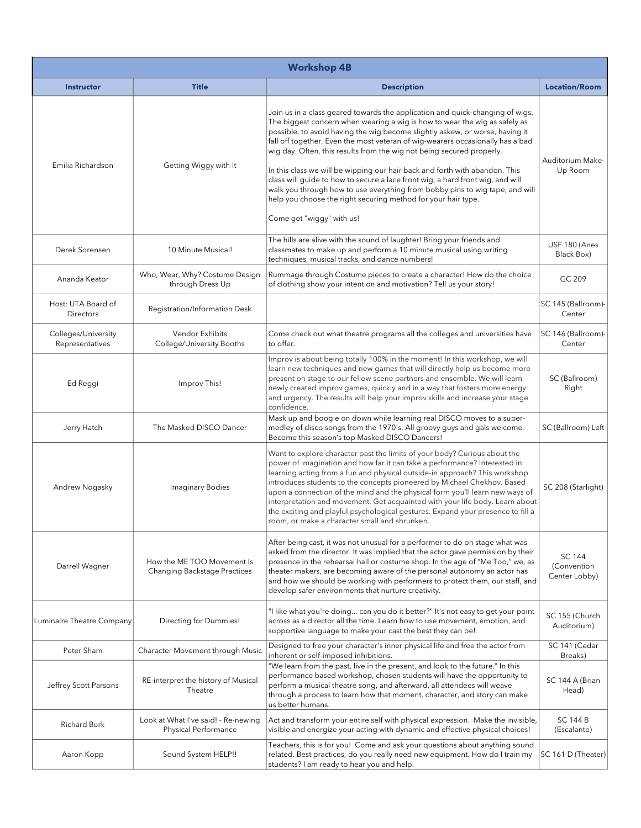| <b>Workshop 4B</b>                     |                                                             |                                                                                                                                                                                                                                                                                                                                                                                                                                                                                                                                                                                                                                                                                                                                                       |                                               |
|----------------------------------------|-------------------------------------------------------------|-------------------------------------------------------------------------------------------------------------------------------------------------------------------------------------------------------------------------------------------------------------------------------------------------------------------------------------------------------------------------------------------------------------------------------------------------------------------------------------------------------------------------------------------------------------------------------------------------------------------------------------------------------------------------------------------------------------------------------------------------------|-----------------------------------------------|
| <b>Instructor</b>                      | <b>Title</b>                                                | <b>Description</b>                                                                                                                                                                                                                                                                                                                                                                                                                                                                                                                                                                                                                                                                                                                                    | <b>Location/Room</b>                          |
| Emilia Richardson                      | Getting Wiggy with It                                       | Join us in a class geared towards the application and quick-changing of wigs.<br>The biggest concern when wearing a wig is how to wear the wig as safely as<br>possible, to avoid having the wig become slightly askew, or worse, having it<br>fall off together. Even the most veteran of wig-wearers occasionally has a bad<br>wig day. Often, this results from the wig not being secured properly.<br>In this class we will be wipping our hair back and forth with abandon. This<br>class will guide to how to secure a lace front wig, a hard front wig, and will<br>walk you through how to use everything from bobby pins to wig tape, and will<br>help you choose the right securing method for your hair type.<br>Come get "wiggy" with us! | Auditorium Make-<br>Up Room                   |
| Derek Sorensen                         | 10 Minute Musical!                                          | The hills are alive with the sound of laughter! Bring your friends and<br>classmates to make up and perform a 10 minute musical using writing<br>techniques, musical tracks, and dance numbers!                                                                                                                                                                                                                                                                                                                                                                                                                                                                                                                                                       | USF 180 (Anes<br>Black Box)                   |
| Ananda Keator                          | Who, Wear, Why? Costume Design<br>through Dress Up          | Rummage through Costume pieces to create a character! How do the choice<br>of clothing show your intention and motivation? Tell us your story!                                                                                                                                                                                                                                                                                                                                                                                                                                                                                                                                                                                                        | GC 209                                        |
| Host: UTA Board of<br>Directors        | Registration/Information Desk                               |                                                                                                                                                                                                                                                                                                                                                                                                                                                                                                                                                                                                                                                                                                                                                       | SC 145 (Ballroom)-<br>Center                  |
| Colleges/University<br>Representatives | Vendor Exhibits<br>College/University Booths                | Come check out what theatre programs all the colleges and universities have<br>to offer.                                                                                                                                                                                                                                                                                                                                                                                                                                                                                                                                                                                                                                                              | SC 146 (Ballroom)-<br>Center                  |
| Ed Reggi                               | Improv This!                                                | Improv is about being totally 100% in the moment! In this workshop, we will<br>learn new techniques and new games that will directly help us become more<br>present on stage to our fellow scene partners and ensemble. We will learn<br>newly created improv games, quickly and in a way that fosters more energy<br>and urgency. The results will help your improv skills and increase your stage<br>confidence.                                                                                                                                                                                                                                                                                                                                    | SC (Ballroom)<br>Right                        |
| Jerry Hatch                            | The Masked DISCO Dancer                                     | Mask up and boogie on down while learning real DISCO moves to a super-<br>medley of disco songs from the 1970's. All groovy guys and gals welcome.<br>Become this season's top Masked DISCO Dancers!                                                                                                                                                                                                                                                                                                                                                                                                                                                                                                                                                  | SC (Ballroom) Left                            |
| Andrew Nogasky                         | <b>Imaginary Bodies</b>                                     | Want to explore character past the limits of your body? Curious about the<br>power of imagination and how far it can take a performance? Interested in<br>learning acting from a fun and physical outside-in approach? This workshop<br>introduces students to the concepts pioneered by Michael Chekhov. Based<br>upon a connection of the mind and the physical form you'll learn new ways of<br>interpretation and movement. Get acquainted with your life body. Learn about<br>the exciting and playful psychological gestures. Expand your presence to fill a<br>room, or make a character small and shrunken.                                                                                                                                   | SC 208 (Starlight)                            |
| Darrell Wagner                         | How the ME TOO Movement Is<br>Changing Backstage Practices  | After being cast, it was not unusual for a performer to do on stage what was<br>asked from the director. It was implied that the actor gave permission by their<br>presence in the rehearsal hall or costume shop. In the age of "Me Too," we, as<br>theater makers, are becoming aware of the personal autonomy an actor has<br>and how we should be working with performers to protect them, our staff, and<br>develop safer environments that nurture creativity.                                                                                                                                                                                                                                                                                  | <b>SC 144</b><br>(Convention<br>Center Lobby) |
| Luminaire Theatre Company              | Directing for Dummies!                                      | "I like what you're doing can you do it better?" It's not easy to get your point<br>across as a director all the time. Learn how to use movement, emotion, and<br>supportive language to make your cast the best they can be!                                                                                                                                                                                                                                                                                                                                                                                                                                                                                                                         | SC 155 (Church<br>Auditorium)                 |
| Peter Sham                             | Character Movement through Music                            | Designed to free your character's inner physical life and free the actor from<br>inherent or self-imposed inhibitions.                                                                                                                                                                                                                                                                                                                                                                                                                                                                                                                                                                                                                                | SC 141 (Cedar<br>Breaks)                      |
| Jeffrey Scott Parsons                  | RE-interpret the history of Musical<br>Theatre              | "We learn from the past, live in the present, and look to the future." In this<br>performance based workshop, chosen students will have the opportunity to<br>perform a musical theatre song, and afterward, all attendees will weave<br>through a process to learn how that moment, character, and story can make<br>us better humans.                                                                                                                                                                                                                                                                                                                                                                                                               | SC 144 A (Brian<br>Head)                      |
| <b>Richard Burk</b>                    | Look at What I've said! - Re-newing<br>Physical Performance | Act and transform your entire self with physical expression. Make the invisible,<br>visible and energize your acting with dynamic and effective physical choices!                                                                                                                                                                                                                                                                                                                                                                                                                                                                                                                                                                                     | <b>SC 144 B</b><br>(Escalante)                |
| Aaron Kopp                             | Sound System HELP!!                                         | Teachers, this is for you! Come and ask your questions about anything sound<br>related. Best practices, do you really need new equipment. How do I train my<br>students? I am ready to hear you and help.                                                                                                                                                                                                                                                                                                                                                                                                                                                                                                                                             | SC 161 D (Theater)                            |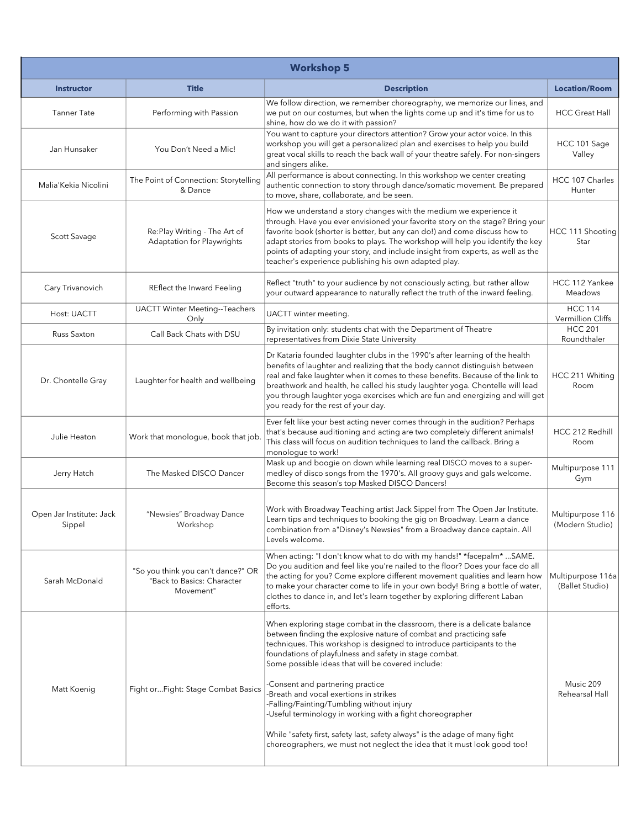| <b>Workshop 5</b>                  |                                                                               |                                                                                                                                                                                                                                                                                                                                                                                                                                                                                                                                                                                                                                                                                          |                                      |
|------------------------------------|-------------------------------------------------------------------------------|------------------------------------------------------------------------------------------------------------------------------------------------------------------------------------------------------------------------------------------------------------------------------------------------------------------------------------------------------------------------------------------------------------------------------------------------------------------------------------------------------------------------------------------------------------------------------------------------------------------------------------------------------------------------------------------|--------------------------------------|
| <b>Instructor</b>                  | <b>Title</b>                                                                  | <b>Description</b>                                                                                                                                                                                                                                                                                                                                                                                                                                                                                                                                                                                                                                                                       | <b>Location/Room</b>                 |
| <b>Tanner Tate</b>                 | Performing with Passion                                                       | We follow direction, we remember choreography, we memorize our lines, and<br>we put on our costumes, but when the lights come up and it's time for us to<br>shine, how do we do it with passion?                                                                                                                                                                                                                                                                                                                                                                                                                                                                                         | <b>HCC Great Hall</b>                |
| Jan Hunsaker                       | You Don't Need a Mic!                                                         | You want to capture your directors attention? Grow your actor voice. In this<br>workshop you will get a personalized plan and exercises to help you build<br>great vocal skills to reach the back wall of your theatre safely. For non-singers<br>and singers alike.                                                                                                                                                                                                                                                                                                                                                                                                                     | HCC 101 Sage<br>Valley               |
| Malia'Kekia Nicolini               | The Point of Connection: Storytelling<br>& Dance                              | All performance is about connecting. In this workshop we center creating<br>authentic connection to story through dance/somatic movement. Be prepared<br>to move, share, collaborate, and be seen.                                                                                                                                                                                                                                                                                                                                                                                                                                                                                       | HCC 107 Charles<br>Hunter            |
| Scott Savage                       | Re:Play Writing - The Art of<br>Adaptation for Playwrights                    | How we understand a story changes with the medium we experience it<br>through. Have you ever envisioned your favorite story on the stage? Bring your<br>favorite book (shorter is better, but any can do!) and come discuss how to<br>adapt stories from books to plays. The workshop will help you identify the key<br>points of adapting your story, and include insight from experts, as well as the<br>teacher's experience publishing his own adapted play.                                                                                                                                                                                                                         | HCC 111 Shooting<br>Star             |
| Cary Trivanovich                   | REflect the Inward Feeling                                                    | Reflect "truth" to your audience by not consciously acting, but rather allow<br>your outward appearance to naturally reflect the truth of the inward feeling.                                                                                                                                                                                                                                                                                                                                                                                                                                                                                                                            | HCC 112 Yankee<br>Meadows            |
| Host: UACTT                        | <b>UACTT Winter Meeting--Teachers</b><br>Only                                 | UACTT winter meeting.                                                                                                                                                                                                                                                                                                                                                                                                                                                                                                                                                                                                                                                                    | <b>HCC 114</b><br>Vermillion Cliffs  |
| Russ Saxton                        | Call Back Chats with DSU                                                      | By invitation only: students chat with the Department of Theatre<br>representatives from Dixie State University                                                                                                                                                                                                                                                                                                                                                                                                                                                                                                                                                                          | <b>HCC 201</b><br>Roundthaler        |
| Dr. Chontelle Gray                 | Laughter for health and wellbeing                                             | Dr Kataria founded laughter clubs in the 1990's after learning of the health<br>benefits of laughter and realizing that the body cannot distinguish between<br>real and fake laughter when it comes to these benefits. Because of the link to<br>breathwork and health, he called his study laughter yoga. Chontelle will lead<br>you through laughter yoga exercises which are fun and energizing and will get<br>you ready for the rest of your day.                                                                                                                                                                                                                                   | HCC 211 Whiting<br>Room              |
| Julie Heaton                       | Work that monologue, book that job.                                           | Ever felt like your best acting never comes through in the audition? Perhaps<br>that's because auditioning and acting are two completely different animals!<br>This class will focus on audition techniques to land the callback. Bring a<br>monologue to work!                                                                                                                                                                                                                                                                                                                                                                                                                          | HCC 212 Redhill<br>Room              |
| Jerry Hatch                        | The Masked DISCO Dancer                                                       | Mask up and boogie on down while learning real DISCO moves to a super-<br>medley of disco songs from the 1970's. All groovy guys and gals welcome.<br>Become this season's top Masked DISCO Dancers!                                                                                                                                                                                                                                                                                                                                                                                                                                                                                     | Multipurpose 111<br>Gym              |
| Open Jar Institute: Jack<br>Sippel | "Newsies" Broadway Dance<br>Workshop                                          | Work with Broadway Teaching artist Jack Sippel from The Open Jar Institute.<br>Learn tips and techniques to booking the gig on Broadway. Learn a dance<br>combination from a "Disney's Newsies" from a Broadway dance captain. All<br>Levels welcome.                                                                                                                                                                                                                                                                                                                                                                                                                                    | Multipurpose 116<br>(Modern Studio)  |
| Sarah McDonald                     | "So you think you can't dance?" OR<br>"Back to Basics: Character<br>Movement" | When acting: "I don't know what to do with my hands!" *facepalm* SAME.<br>Do you audition and feel like you're nailed to the floor? Does your face do all<br>the acting for you? Come explore different movement qualities and learn how<br>to make your character come to life in your own body! Bring a bottle of water,<br>clothes to dance in, and let's learn together by exploring different Laban<br>efforts.                                                                                                                                                                                                                                                                     | Multipurpose 116a<br>(Ballet Studio) |
| Matt Koenig                        | Fight or Fight: Stage Combat Basics                                           | When exploring stage combat in the classroom, there is a delicate balance<br>between finding the explosive nature of combat and practicing safe<br>techniques. This workshop is designed to introduce participants to the<br>foundations of playfulness and safety in stage combat.<br>Some possible ideas that will be covered include:<br>Consent and partnering practice<br>Breath and vocal exertions in strikes<br>Falling/Fainting/Tumbling without injury<br>-Useful terminology in working with a fight choreographer<br>While "safety first, safety last, safety always" is the adage of many fight<br>choreographers, we must not neglect the idea that it must look good too! | Music 209<br>Rehearsal Hall          |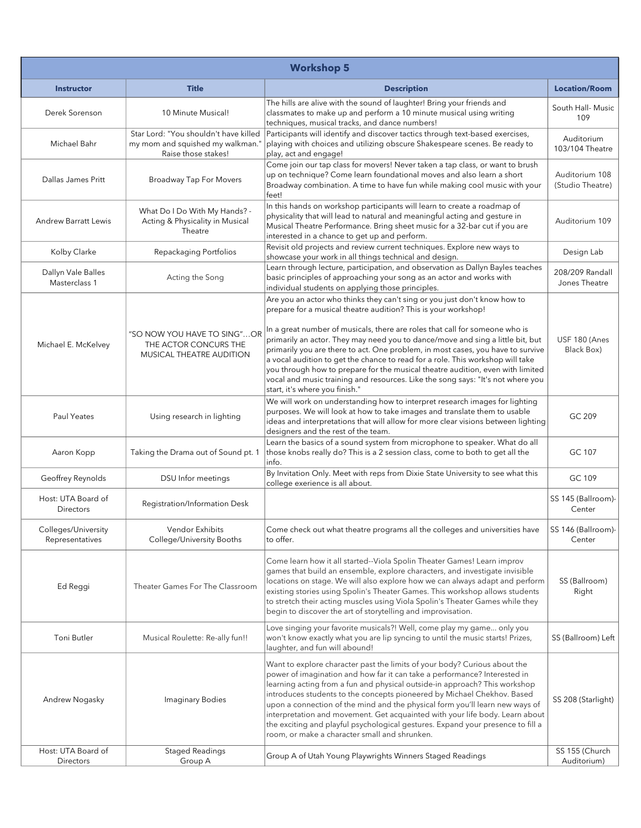| <b>Workshop 5</b>                      |                                                                                                  |                                                                                                                                                                                                                                                                                                                                                                                                                                                                                                                                                                                                                                                                                          |                                    |
|----------------------------------------|--------------------------------------------------------------------------------------------------|------------------------------------------------------------------------------------------------------------------------------------------------------------------------------------------------------------------------------------------------------------------------------------------------------------------------------------------------------------------------------------------------------------------------------------------------------------------------------------------------------------------------------------------------------------------------------------------------------------------------------------------------------------------------------------------|------------------------------------|
| <b>Instructor</b>                      | <b>Title</b>                                                                                     | <b>Description</b>                                                                                                                                                                                                                                                                                                                                                                                                                                                                                                                                                                                                                                                                       | <b>Location/Room</b>               |
| Derek Sorenson                         | 10 Minute Musical!                                                                               | The hills are alive with the sound of laughter! Bring your friends and<br>classmates to make up and perform a 10 minute musical using writing<br>techniques, musical tracks, and dance numbers!                                                                                                                                                                                                                                                                                                                                                                                                                                                                                          | South Hall- Music<br>109           |
| Michael Bahr                           | Star Lord: "You shouldn't have killed<br>my mom and squished my walkman."<br>Raise those stakes! | Participants will identify and discover tactics through text-based exercises,<br>playing with choices and utilizing obscure Shakespeare scenes. Be ready to<br>play, act and engage!                                                                                                                                                                                                                                                                                                                                                                                                                                                                                                     | Auditorium<br>103/104 Theatre      |
| Dallas James Pritt                     | Broadway Tap For Movers                                                                          | Come join our tap class for movers! Never taken a tap class, or want to brush<br>up on technique? Come learn foundational moves and also learn a short<br>Broadway combination. A time to have fun while making cool music with your<br>feet!                                                                                                                                                                                                                                                                                                                                                                                                                                            | Auditorium 108<br>(Studio Theatre) |
| <b>Andrew Barratt Lewis</b>            | What Do I Do With My Hands? -<br>Acting & Physicality in Musical<br>Theatre                      | In this hands on workshop participants will learn to create a roadmap of<br>physicality that will lead to natural and meaningful acting and gesture in<br>Musical Theatre Performance. Bring sheet music for a 32-bar cut if you are<br>interested in a chance to get up and perform.                                                                                                                                                                                                                                                                                                                                                                                                    | Auditorium 109                     |
| Kolby Clarke                           | Repackaging Portfolios                                                                           | Revisit old projects and review current techniques. Explore new ways to<br>showcase your work in all things technical and design.                                                                                                                                                                                                                                                                                                                                                                                                                                                                                                                                                        | Design Lab                         |
| Dallyn Vale Balles<br>Masterclass 1    | Acting the Song                                                                                  | Learn through lecture, participation, and observation as Dallyn Bayles teaches<br>basic principles of approaching your song as an actor and works with<br>individual students on applying those principles.                                                                                                                                                                                                                                                                                                                                                                                                                                                                              | 208/209 Randall<br>Jones Theatre   |
| Michael E. McKelvey                    | "SO NOW YOU HAVE TO SING"OR<br>THE ACTOR CONCURS THE<br>MUSICAL THEATRE AUDITION                 | Are you an actor who thinks they can't sing or you just don't know how to<br>prepare for a musical theatre audition? This is your workshop!<br>In a great number of musicals, there are roles that call for someone who is<br>primarily an actor. They may need you to dance/move and sing a little bit, but<br>primarily you are there to act. One problem, in most cases, you have to survive<br>a vocal audition to get the chance to read for a role. This workshop will take<br>you through how to prepare for the musical theatre audition, even with limited<br>vocal and music training and resources. Like the song says: "It's not where you<br>start, it's where you finish." | USF 180 (Anes<br>Black Box)        |
| Paul Yeates                            | Using research in lighting                                                                       | We will work on understanding how to interpret research images for lighting<br>purposes. We will look at how to take images and translate them to usable<br>ideas and interpretations that will allow for more clear visions between lighting<br>designers and the rest of the team.                                                                                                                                                                                                                                                                                                                                                                                                     | GC 209                             |
| Aaron Kopp                             | Taking the Drama out of Sound pt. 1                                                              | Learn the basics of a sound system from microphone to speaker. What do all<br>those knobs really do? This is a 2 session class, come to both to get all the<br>info.                                                                                                                                                                                                                                                                                                                                                                                                                                                                                                                     | GC 107                             |
| Geoffrey Reynolds                      | DSU Infor meetings                                                                               | By Invitation Only. Meet with reps from Dixie State University to see what this<br>college exerience is all about.                                                                                                                                                                                                                                                                                                                                                                                                                                                                                                                                                                       | GC 109                             |
| Host: UTA Board of<br><b>Directors</b> | Registration/Information Desk                                                                    |                                                                                                                                                                                                                                                                                                                                                                                                                                                                                                                                                                                                                                                                                          | SS 145 (Ballroom)-<br>Center       |
| Colleges/University<br>Representatives | Vendor Exhibits<br>College/University Booths                                                     | Come check out what theatre programs all the colleges and universities have<br>to offer.                                                                                                                                                                                                                                                                                                                                                                                                                                                                                                                                                                                                 | SS 146 (Ballroom)-<br>Center       |
| Ed Reggi                               | Theater Games For The Classroom                                                                  | Come learn how it all started--Viola Spolin Theater Games! Learn improv<br>games that build an ensemble, explore characters, and investigate invisible<br>locations on stage. We will also explore how we can always adapt and perform<br>existing stories using Spolin's Theater Games. This workshop allows students<br>to stretch their acting muscles using Viola Spolin's Theater Games while they<br>begin to discover the art of storytelling and improvisation.                                                                                                                                                                                                                  | SS (Ballroom)<br>Right             |
| Toni Butler                            | Musical Roulette: Re-ally fun!!                                                                  | Love singing your favorite musicals?! Well, come play my game only you<br>won't know exactly what you are lip syncing to until the music starts! Prizes,<br>laughter, and fun will abound!                                                                                                                                                                                                                                                                                                                                                                                                                                                                                               | SS (Ballroom) Left                 |
| Andrew Nogasky                         | <b>Imaginary Bodies</b>                                                                          | Want to explore character past the limits of your body? Curious about the<br>power of imagination and how far it can take a performance? Interested in<br>learning acting from a fun and physical outside-in approach? This workshop<br>introduces students to the concepts pioneered by Michael Chekhov. Based<br>upon a connection of the mind and the physical form you'll learn new ways of<br>interpretation and movement. Get acquainted with your life body. Learn about<br>the exciting and playful psychological gestures. Expand your presence to fill a<br>room, or make a character small and shrunken.                                                                      | SS 208 (Starlight)                 |
| Host: UTA Board of<br>Directors        | <b>Staged Readings</b><br>Group A                                                                | Group A of Utah Young Playwrights Winners Staged Readings                                                                                                                                                                                                                                                                                                                                                                                                                                                                                                                                                                                                                                | SS 155 (Church<br>Auditorium)      |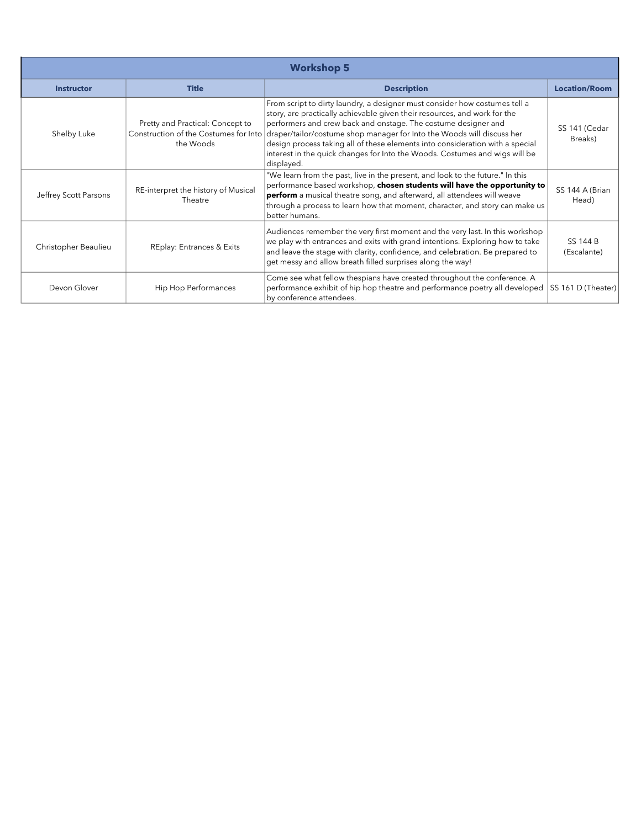| <b>Workshop 5</b>     |                                                                                        |                                                                                                                                                                                                                                                                                                                                                                                                                                                                                   |                          |
|-----------------------|----------------------------------------------------------------------------------------|-----------------------------------------------------------------------------------------------------------------------------------------------------------------------------------------------------------------------------------------------------------------------------------------------------------------------------------------------------------------------------------------------------------------------------------------------------------------------------------|--------------------------|
| <b>Instructor</b>     | <b>Title</b>                                                                           | <b>Description</b>                                                                                                                                                                                                                                                                                                                                                                                                                                                                | <b>Location/Room</b>     |
| Shelby Luke           | Pretty and Practical: Concept to<br>Construction of the Costumes for Into<br>the Woods | From script to dirty laundry, a designer must consider how costumes tell a<br>story, are practically achievable given their resources, and work for the<br>performers and crew back and onstage. The costume designer and<br>draper/tailor/costume shop manager for Into the Woods will discuss her<br>design process taking all of these elements into consideration with a special<br>interest in the quick changes for Into the Woods. Costumes and wigs will be<br>displayed. | SS 141 (Cedar<br>Breaks) |
| Jeffrey Scott Parsons | RE-interpret the history of Musical<br>Theatre                                         | "We learn from the past, live in the present, and look to the future." In this<br>performance based workshop, chosen students will have the opportunity to<br>perform a musical theatre song, and afterward, all attendees will weave<br>through a process to learn how that moment, character, and story can make us<br>better humans.                                                                                                                                           | SS 144 A (Brian<br>Head) |
| Christopher Beaulieu  | <b>REplay: Entrances &amp; Exits</b>                                                   | Audiences remember the very first moment and the very last. In this workshop<br>we play with entrances and exits with grand intentions. Exploring how to take<br>and leave the stage with clarity, confidence, and celebration. Be prepared to<br>get messy and allow breath filled surprises along the way!                                                                                                                                                                      | SS 144 B<br>(Escalante)  |
| Devon Glover          | Hip Hop Performances                                                                   | Come see what fellow thespians have created throughout the conference. A<br>performance exhibit of hip hop theatre and performance poetry all developed<br>by conference attendees.                                                                                                                                                                                                                                                                                               | SS 161 D (Theater)       |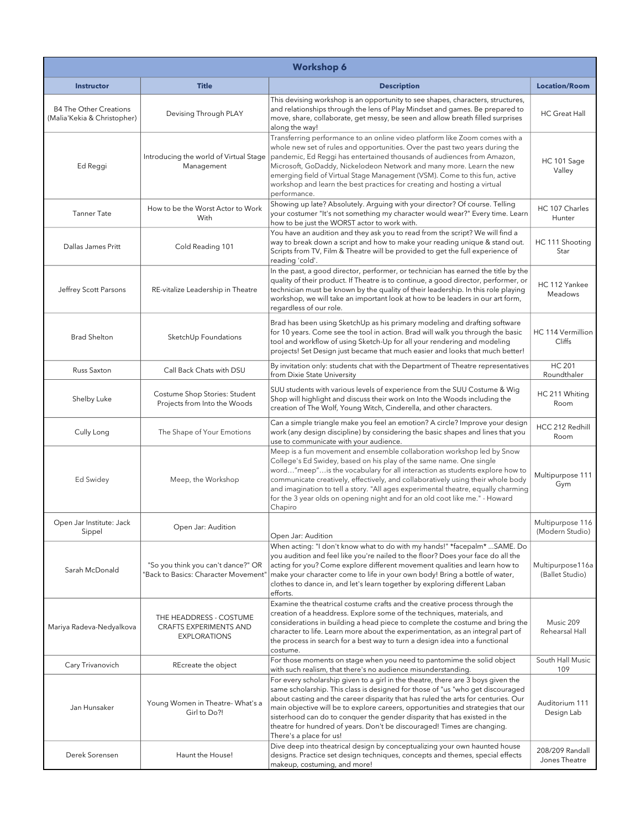| <b>Workshop 6</b>                                            |                                                                                 |                                                                                                                                                                                                                                                                                                                                                                                                                                                                                                                                |                                     |
|--------------------------------------------------------------|---------------------------------------------------------------------------------|--------------------------------------------------------------------------------------------------------------------------------------------------------------------------------------------------------------------------------------------------------------------------------------------------------------------------------------------------------------------------------------------------------------------------------------------------------------------------------------------------------------------------------|-------------------------------------|
| <b>Instructor</b>                                            | <b>Title</b>                                                                    | <b>Description</b>                                                                                                                                                                                                                                                                                                                                                                                                                                                                                                             | <b>Location/Room</b>                |
| <b>B4 The Other Creations</b><br>(Malia'Kekia & Christopher) | Devising Through PLAY                                                           | This devising workshop is an opportunity to see shapes, characters, structures,<br>and relationships through the lens of Play Mindset and games. Be prepared to<br>move, share, collaborate, get messy, be seen and allow breath filled surprises<br>along the way!                                                                                                                                                                                                                                                            | HC Great Hall                       |
| Ed Reggi                                                     | Introducing the world of Virtual Stage<br>Management                            | Transferring performance to an online video platform like Zoom comes with a<br>whole new set of rules and opportunities. Over the past two years during the<br>pandemic, Ed Reggi has entertained thousands of audiences from Amazon,<br>Microsoft, GoDaddy, Nickelodeon Network and many more. Learn the new<br>emerging field of Virtual Stage Management (VSM). Come to this fun, active<br>workshop and learn the best practices for creating and hosting a virtual<br>performance.                                        | HC 101 Sage<br>Valley               |
| <b>Tanner Tate</b>                                           | How to be the Worst Actor to Work<br>With                                       | Showing up late? Absolutely. Arguing with your director? Of course. Telling<br>your costumer "It's not something my character would wear?" Every time. Learn<br>how to be just the WORST actor to work with.                                                                                                                                                                                                                                                                                                                   | HC 107 Charles<br>Hunter            |
| Dallas James Pritt                                           | Cold Reading 101                                                                | You have an audition and they ask you to read from the script? We will find a<br>way to break down a script and how to make your reading unique & stand out.<br>Scripts from TV, Film & Theatre will be provided to get the full experience of<br>reading 'cold'.                                                                                                                                                                                                                                                              | HC 111 Shooting<br>Star             |
| Jeffrey Scott Parsons                                        | RE-vitalize Leadership in Theatre                                               | In the past, a good director, performer, or technician has earned the title by the<br>quality of their product. If Theatre is to continue, a good director, performer, or<br>technician must be known by the quality of their leadership. In this role playing<br>workshop, we will take an important look at how to be leaders in our art form,<br>regardless of our role.                                                                                                                                                    | HC 112 Yankee<br><b>Meadows</b>     |
| <b>Brad Shelton</b>                                          | SketchUp Foundations                                                            | Brad has been using SketchUp as his primary modeling and drafting software<br>for 10 years. Come see the tool in action. Brad will walk you through the basic<br>tool and workflow of using Sketch-Up for all your rendering and modeling<br>projects! Set Design just became that much easier and looks that much better!                                                                                                                                                                                                     | HC 114 Vermillion<br>Cliffs         |
| Russ Saxton                                                  | Call Back Chats with DSU                                                        | By invitation only: students chat with the Department of Theatre representatives<br>from Dixie State University                                                                                                                                                                                                                                                                                                                                                                                                                | <b>HC 201</b><br>Roundthaler        |
| Shelby Luke                                                  | Costume Shop Stories: Student<br>Projects from Into the Woods                   | SUU students with various levels of experience from the SUU Costume & Wig<br>Shop will highlight and discuss their work on Into the Woods including the<br>creation of The Wolf, Young Witch, Cinderella, and other characters.                                                                                                                                                                                                                                                                                                | HC 211 Whiting<br>Room              |
| Cully Long                                                   | The Shape of Your Emotions                                                      | Can a simple triangle make you feel an emotion? A circle? Improve your design<br>work (any design discipline) by considering the basic shapes and lines that you<br>use to communicate with your audience.                                                                                                                                                                                                                                                                                                                     | HCC 212 Redhill<br>Room             |
| Ed Swidey                                                    | Meep, the Workshop                                                              | Meep is a fun movement and ensemble collaboration workshop led by Snow<br>College's Ed Swidey, based on his play of the same name. One single<br>word"meep"is the vocabulary for all interaction as students explore how to<br>communicate creatively, effectively, and collaboratively using their whole body<br>and imagination to tell a story. "All ages experimental theatre, equally charming<br>for the 3 year olds on opening night and for an old coot like me." - Howard<br>Chapiro                                  | Multipurpose 111<br>Gym             |
| Open Jar Institute: Jack<br>Sippel                           | Open Jar: Audition                                                              | Open Jar: Audition                                                                                                                                                                                                                                                                                                                                                                                                                                                                                                             | Multipurpose 116<br>(Modern Studio) |
| Sarah McDonald                                               | "So you think you can't dance?" OR<br>'Back to Basics: Character Movement'      | When acting: "I don't know what to do with my hands!" *facepalm*  SAME. Do<br>you audition and feel like you're nailed to the floor? Does your face do all the<br>acting for you? Come explore different movement qualities and learn how to<br>make your character come to life in your own body! Bring a bottle of water,<br>clothes to dance in, and let's learn together by exploring different Laban<br>efforts.                                                                                                          | Multipurpose116a<br>(Ballet Studio) |
| Mariya Radeva-Nedyalkova                                     | THE HEADDRESS - COSTUME<br><b>CRAFTS EXPERIMENTS AND</b><br><b>EXPLORATIONS</b> | Examine the theatrical costume crafts and the creative process through the<br>creation of a headdress. Explore some of the techniques, materials, and<br>considerations in building a head piece to complete the costume and bring the<br>character to life. Learn more about the experimentation, as an integral part of<br>the process in search for a best way to turn a design idea into a functional<br>costume.                                                                                                          | Music 209<br>Rehearsal Hall         |
| Cary Trivanovich                                             | REcreate the object                                                             | For those moments on stage when you need to pantomime the solid object<br>with such realism, that there's no audience misunderstanding.                                                                                                                                                                                                                                                                                                                                                                                        | South Hall Music<br>109             |
| Jan Hunsaker                                                 | Young Women in Theatre- What's a<br>Girl to Do?!                                | For every scholarship given to a girl in the theatre, there are 3 boys given the<br>same scholarship. This class is designed for those of "us "who get discouraged<br>about casting and the career disparity that has ruled the arts for centuries. Our<br>main objective will be to explore careers, opportunities and strategies that our<br>sisterhood can do to conquer the gender disparity that has existed in the<br>theatre for hundred of years. Don't be discouraged! Times are changing.<br>There's a place for us! | Auditorium 111<br>Design Lab        |
| Derek Sorensen                                               | Haunt the House!                                                                | Dive deep into theatrical design by conceptualizing your own haunted house<br>designs. Practice set design techniques, concepts and themes, special effects<br>makeup, costuming, and more!                                                                                                                                                                                                                                                                                                                                    | 208/209 Randall<br>Jones Theatre    |